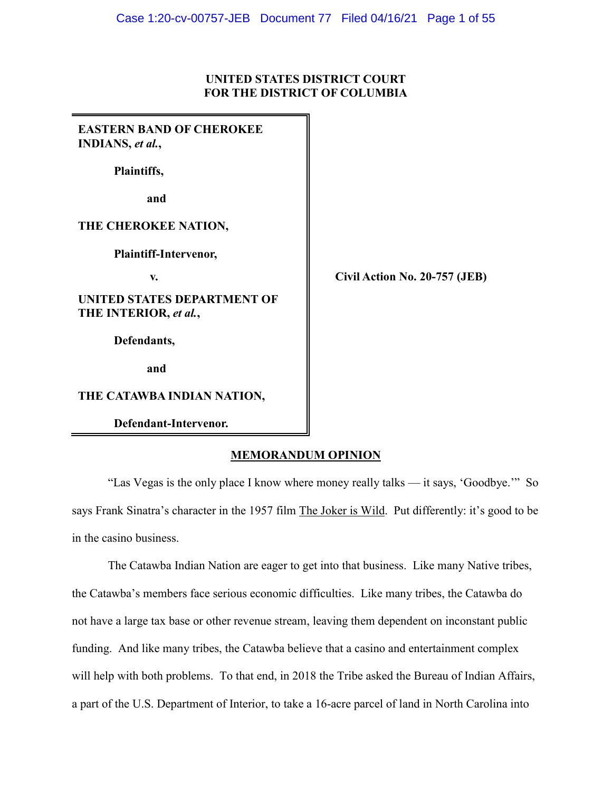# **UNITED STATES DISTRICT COURT FOR THE DISTRICT OF COLUMBIA**

| <b>EASTERN BAND OF CHEROKEE</b><br><b>INDIANS</b> , et al., |                               |
|-------------------------------------------------------------|-------------------------------|
| Plaintiffs,                                                 |                               |
| and                                                         |                               |
| THE CHEROKEE NATION,                                        |                               |
| Plaintiff-Intervenor,                                       |                               |
| V.                                                          | Civil Action No. 20-757 (JEB) |
| <b>UNITED STATES DEPARTMENT OF</b><br>THE INTERIOR, et al., |                               |
| Defendants,                                                 |                               |
| and                                                         |                               |
| THE CATAWBA INDIAN NATION,                                  |                               |
| Defendant-Intervenor.                                       |                               |

# **MEMORANDUM OPINION**

"Las Vegas is the only place I know where money really talks — it says, 'Goodbye.'" So says Frank Sinatra's character in the 1957 film The Joker is Wild. Put differently: it's good to be in the casino business.

The Catawba Indian Nation are eager to get into that business. Like many Native tribes, the Catawba's members face serious economic difficulties. Like many tribes, the Catawba do not have a large tax base or other revenue stream, leaving them dependent on inconstant public funding. And like many tribes, the Catawba believe that a casino and entertainment complex will help with both problems. To that end, in 2018 the Tribe asked the Bureau of Indian Affairs, a part of the U.S. Department of Interior, to take a 16-acre parcel of land in North Carolina into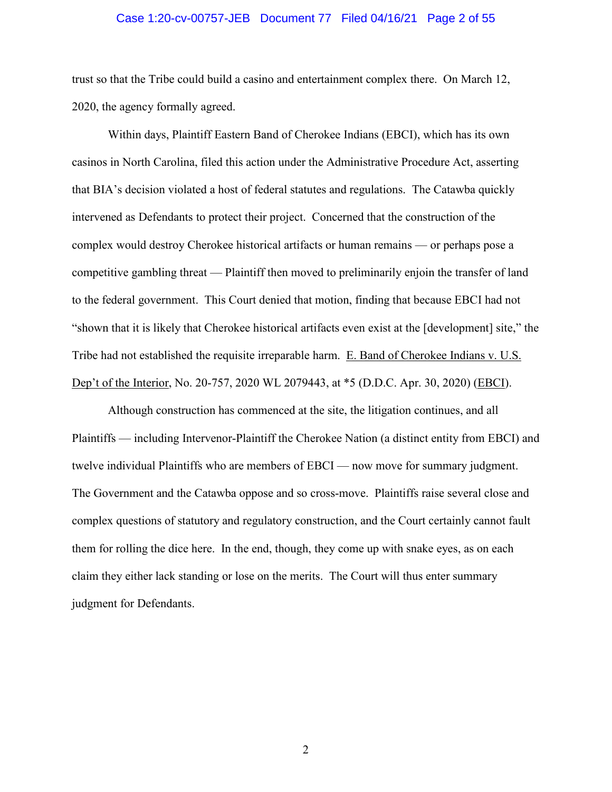### Case 1:20-cv-00757-JEB Document 77 Filed 04/16/21 Page 2 of 55

trust so that the Tribe could build a casino and entertainment complex there. On March 12, 2020, the agency formally agreed.

Within days, Plaintiff Eastern Band of Cherokee Indians (EBCI), which has its own casinos in North Carolina, filed this action under the Administrative Procedure Act, asserting that BIA's decision violated a host of federal statutes and regulations. The Catawba quickly intervened as Defendants to protect their project. Concerned that the construction of the complex would destroy Cherokee historical artifacts or human remains — or perhaps pose a competitive gambling threat — Plaintiff then moved to preliminarily enjoin the transfer of land to the federal government. This Court denied that motion, finding that because EBCI had not "shown that it is likely that Cherokee historical artifacts even exist at the [development] site," the Tribe had not established the requisite irreparable harm. E. Band of Cherokee Indians v. U.S. Dep't of the Interior, No. 20-757, 2020 WL 2079443, at \*5 (D.D.C. Apr. 30, 2020) (EBCI).

Although construction has commenced at the site, the litigation continues, and all Plaintiffs — including Intervenor-Plaintiff the Cherokee Nation (a distinct entity from EBCI) and twelve individual Plaintiffs who are members of EBCI — now move for summary judgment. The Government and the Catawba oppose and so cross-move. Plaintiffs raise several close and complex questions of statutory and regulatory construction, and the Court certainly cannot fault them for rolling the dice here. In the end, though, they come up with snake eyes, as on each claim they either lack standing or lose on the merits. The Court will thus enter summary judgment for Defendants.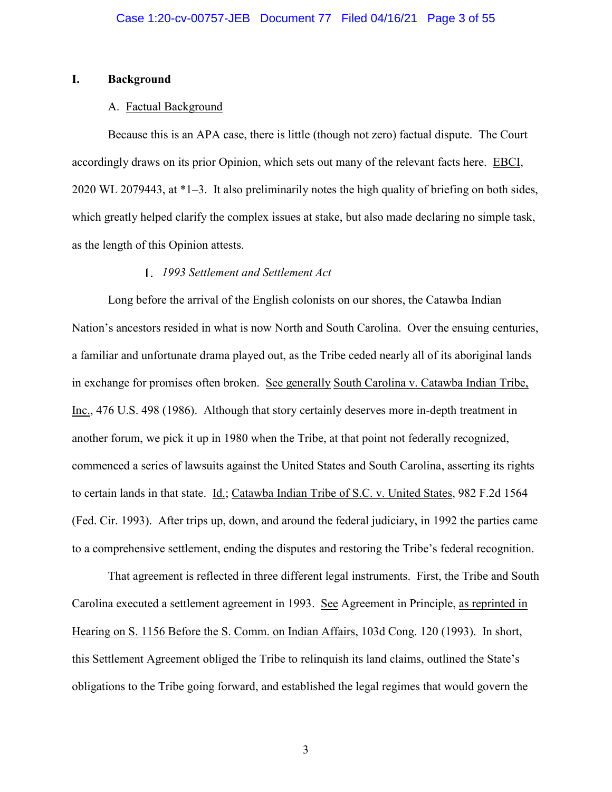# **I. Background**

### A. Factual Background

Because this is an APA case, there is little (though not zero) factual dispute. The Court accordingly draws on its prior Opinion, which sets out many of the relevant facts here. EBCI, 2020 WL 2079443, at \*1–3. It also preliminarily notes the high quality of briefing on both sides, which greatly helped clarify the complex issues at stake, but also made declaring no simple task, as the length of this Opinion attests.

# *1993 Settlement and Settlement Act*

Long before the arrival of the English colonists on our shores, the Catawba Indian Nation's ancestors resided in what is now North and South Carolina. Over the ensuing centuries, a familiar and unfortunate drama played out, as the Tribe ceded nearly all of its aboriginal lands in exchange for promises often broken. See generally South Carolina v. Catawba Indian Tribe, Inc., 476 U.S. 498 (1986). Although that story certainly deserves more in-depth treatment in another forum, we pick it up in 1980 when the Tribe, at that point not federally recognized, commenced a series of lawsuits against the United States and South Carolina, asserting its rights to certain lands in that state. Id.; Catawba Indian Tribe of S.C. v. United States, 982 F.2d 1564 (Fed. Cir. 1993). After trips up, down, and around the federal judiciary, in 1992 the parties came to a comprehensive settlement, ending the disputes and restoring the Tribe's federal recognition.

That agreement is reflected in three different legal instruments. First, the Tribe and South Carolina executed a settlement agreement in 1993. See Agreement in Principle, as reprinted in Hearing on S. 1156 Before the S. Comm. on Indian Affairs, 103d Cong. 120 (1993). In short, this Settlement Agreement obliged the Tribe to relinquish its land claims, outlined the State's obligations to the Tribe going forward, and established the legal regimes that would govern the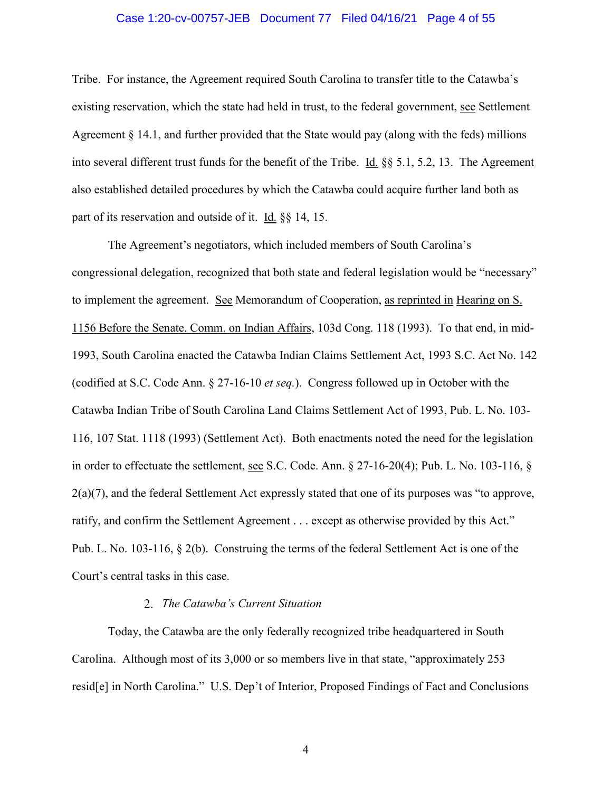### Case 1:20-cv-00757-JEB Document 77 Filed 04/16/21 Page 4 of 55

Tribe. For instance, the Agreement required South Carolina to transfer title to the Catawba's existing reservation, which the state had held in trust, to the federal government, see Settlement Agreement  $\S 14.1$ , and further provided that the State would pay (along with the feds) millions into several different trust funds for the benefit of the Tribe. Id. §§ 5.1, 5.2, 13. The Agreement also established detailed procedures by which the Catawba could acquire further land both as part of its reservation and outside of it. Id. §§ 14, 15.

The Agreement's negotiators, which included members of South Carolina's congressional delegation, recognized that both state and federal legislation would be "necessary" to implement the agreement. See Memorandum of Cooperation, as reprinted in Hearing on S. 1156 Before the Senate. Comm. on Indian Affairs, 103d Cong. 118 (1993). To that end, in mid-1993, South Carolina enacted the Catawba Indian Claims Settlement Act, 1993 S.C. Act No. 142 (codified at S.C. Code Ann. § 27-16-10 *et seq.*). Congress followed up in October with the Catawba Indian Tribe of South Carolina Land Claims Settlement Act of 1993, Pub. L. No. 103- 116, 107 Stat. 1118 (1993) (Settlement Act). Both enactments noted the need for the legislation in order to effectuate the settlement, see S.C. Code. Ann. § 27-16-20(4); Pub. L. No. 103-116, §  $2(a)(7)$ , and the federal Settlement Act expressly stated that one of its purposes was "to approve, ratify, and confirm the Settlement Agreement . . . except as otherwise provided by this Act." Pub. L. No. 103-116, § 2(b). Construing the terms of the federal Settlement Act is one of the Court's central tasks in this case.

# *The Catawba's Current Situation*

Today, the Catawba are the only federally recognized tribe headquartered in South Carolina. Although most of its 3,000 or so members live in that state, "approximately 253 resid[e] in North Carolina." U.S. Dep't of Interior, Proposed Findings of Fact and Conclusions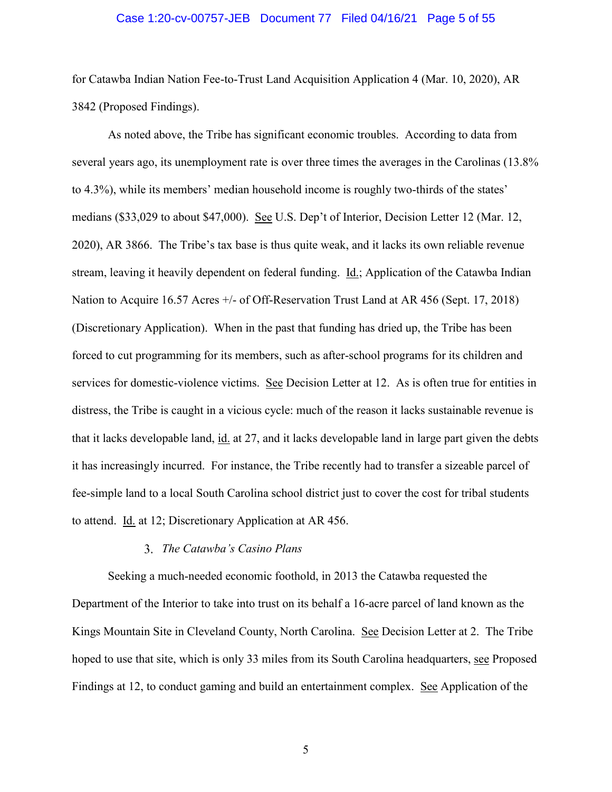### Case 1:20-cv-00757-JEB Document 77 Filed 04/16/21 Page 5 of 55

for Catawba Indian Nation Fee-to-Trust Land Acquisition Application 4 (Mar. 10, 2020), AR 3842 (Proposed Findings).

As noted above, the Tribe has significant economic troubles. According to data from several years ago, its unemployment rate is over three times the averages in the Carolinas (13.8% to 4.3%), while its members' median household income is roughly two-thirds of the states' medians (\$33,029 to about \$47,000). See U.S. Dep't of Interior, Decision Letter 12 (Mar. 12, 2020), AR 3866. The Tribe's tax base is thus quite weak, and it lacks its own reliable revenue stream, leaving it heavily dependent on federal funding. Id.; Application of the Catawba Indian Nation to Acquire 16.57 Acres +/- of Off-Reservation Trust Land at AR 456 (Sept. 17, 2018) (Discretionary Application). When in the past that funding has dried up, the Tribe has been forced to cut programming for its members, such as after-school programs for its children and services for domestic-violence victims. See Decision Letter at 12. As is often true for entities in distress, the Tribe is caught in a vicious cycle: much of the reason it lacks sustainable revenue is that it lacks developable land, id. at 27, and it lacks developable land in large part given the debts it has increasingly incurred. For instance, the Tribe recently had to transfer a sizeable parcel of fee-simple land to a local South Carolina school district just to cover the cost for tribal students to attend. Id. at 12; Discretionary Application at AR 456.

## *The Catawba's Casino Plans*

Seeking a much-needed economic foothold, in 2013 the Catawba requested the Department of the Interior to take into trust on its behalf a 16-acre parcel of land known as the Kings Mountain Site in Cleveland County, North Carolina. See Decision Letter at 2. The Tribe hoped to use that site, which is only 33 miles from its South Carolina headquarters, see Proposed Findings at 12, to conduct gaming and build an entertainment complex. See Application of the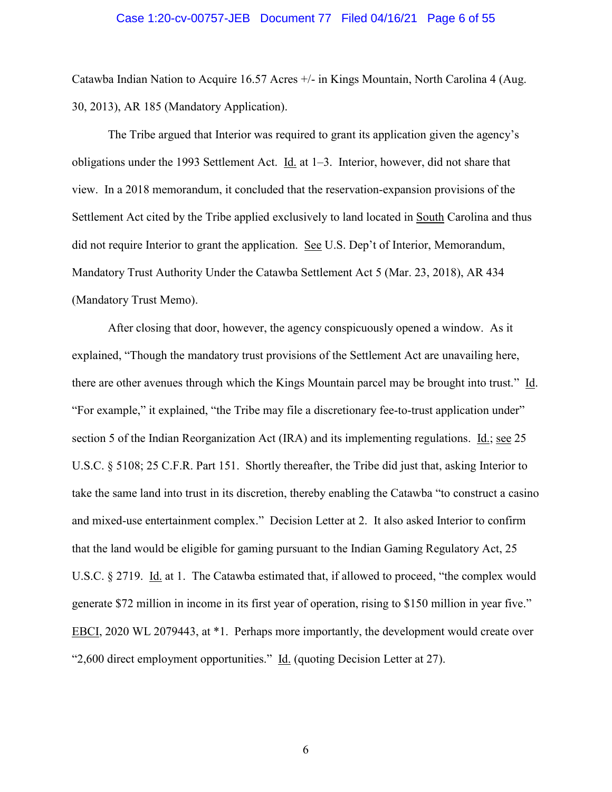### Case 1:20-cv-00757-JEB Document 77 Filed 04/16/21 Page 6 of 55

Catawba Indian Nation to Acquire 16.57 Acres +/- in Kings Mountain, North Carolina 4 (Aug. 30, 2013), AR 185 (Mandatory Application).

The Tribe argued that Interior was required to grant its application given the agency's obligations under the 1993 Settlement Act. Id. at 1–3. Interior, however, did not share that view. In a 2018 memorandum, it concluded that the reservation-expansion provisions of the Settlement Act cited by the Tribe applied exclusively to land located in South Carolina and thus did not require Interior to grant the application. See U.S. Dep't of Interior, Memorandum, Mandatory Trust Authority Under the Catawba Settlement Act 5 (Mar. 23, 2018), AR 434 (Mandatory Trust Memo).

After closing that door, however, the agency conspicuously opened a window. As it explained, "Though the mandatory trust provisions of the Settlement Act are unavailing here, there are other avenues through which the Kings Mountain parcel may be brought into trust." Id. "For example," it explained, "the Tribe may file a discretionary fee-to-trust application under" section 5 of the Indian Reorganization Act (IRA) and its implementing regulations. Id.; see 25 U.S.C. § 5108; 25 C.F.R. Part 151. Shortly thereafter, the Tribe did just that, asking Interior to take the same land into trust in its discretion, thereby enabling the Catawba "to construct a casino and mixed-use entertainment complex." Decision Letter at 2. It also asked Interior to confirm that the land would be eligible for gaming pursuant to the Indian Gaming Regulatory Act, 25 U.S.C. § 2719. Id. at 1. The Catawba estimated that, if allowed to proceed, "the complex would generate \$72 million in income in its first year of operation, rising to \$150 million in year five." EBCI, 2020 WL 2079443, at \*1. Perhaps more importantly, the development would create over "2.600 direct employment opportunities." Id. (quoting Decision Letter at 27).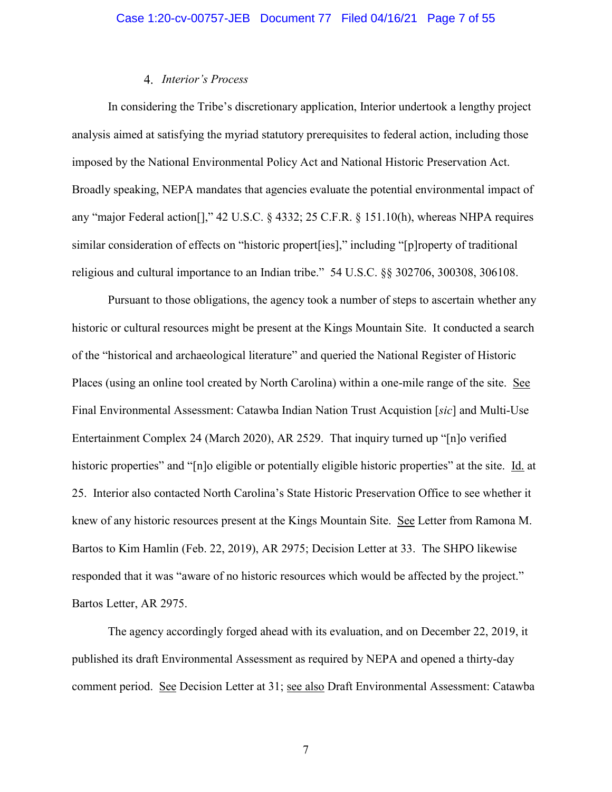## *Interior's Process*

In considering the Tribe's discretionary application, Interior undertook a lengthy project analysis aimed at satisfying the myriad statutory prerequisites to federal action, including those imposed by the National Environmental Policy Act and National Historic Preservation Act. Broadly speaking, NEPA mandates that agencies evaluate the potential environmental impact of any "major Federal action[]," 42 U.S.C. § 4332; 25 C.F.R. § 151.10(h), whereas NHPA requires similar consideration of effects on "historic propert[ies]," including "[p]roperty of traditional religious and cultural importance to an Indian tribe." 54 U.S.C. §§ 302706, 300308, 306108.

Pursuant to those obligations, the agency took a number of steps to ascertain whether any historic or cultural resources might be present at the Kings Mountain Site. It conducted a search of the "historical and archaeological literature" and queried the National Register of Historic Places (using an online tool created by North Carolina) within a one-mile range of the site. See Final Environmental Assessment: Catawba Indian Nation Trust Acquistion [*sic*] and Multi-Use Entertainment Complex 24 (March 2020), AR 2529. That inquiry turned up "[n]o verified historic properties" and "[n]o eligible or potentially eligible historic properties" at the site. Id. at 25. Interior also contacted North Carolina's State Historic Preservation Office to see whether it knew of any historic resources present at the Kings Mountain Site. See Letter from Ramona M. Bartos to Kim Hamlin (Feb. 22, 2019), AR 2975; Decision Letter at 33. The SHPO likewise responded that it was "aware of no historic resources which would be affected by the project." Bartos Letter, AR 2975.

The agency accordingly forged ahead with its evaluation, and on December 22, 2019, it published its draft Environmental Assessment as required by NEPA and opened a thirty-day comment period. See Decision Letter at 31; see also Draft Environmental Assessment: Catawba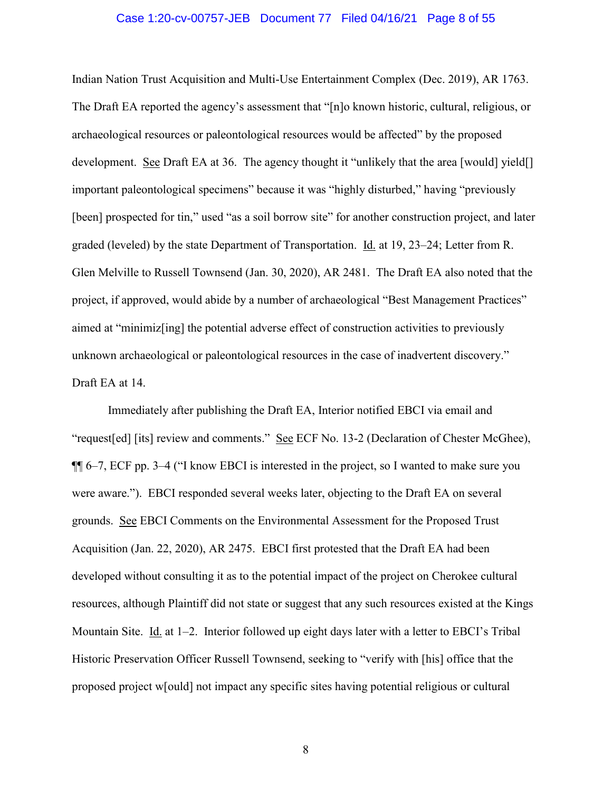### Case 1:20-cv-00757-JEB Document 77 Filed 04/16/21 Page 8 of 55

Indian Nation Trust Acquisition and Multi-Use Entertainment Complex (Dec. 2019), AR 1763. The Draft EA reported the agency's assessment that "[n]o known historic, cultural, religious, or archaeological resources or paleontological resources would be affected" by the proposed development. See Draft EA at 36. The agency thought it "unlikely that the area [would] yield[] important paleontological specimens" because it was "highly disturbed," having "previously [been] prospected for tin," used "as a soil borrow site" for another construction project, and later graded (leveled) by the state Department of Transportation. Id. at 19, 23–24; Letter from R. Glen Melville to Russell Townsend (Jan. 30, 2020), AR 2481. The Draft EA also noted that the project, if approved, would abide by a number of archaeological "Best Management Practices" aimed at "minimiz[ing] the potential adverse effect of construction activities to previously unknown archaeological or paleontological resources in the case of inadvertent discovery." Draft EA at 14.

Immediately after publishing the Draft EA, Interior notified EBCI via email and "request[ed] [its] review and comments." See ECF No. 13-2 (Declaration of Chester McGhee), ¶¶ 6–7, ECF pp. 3–4 ("I know EBCI is interested in the project, so I wanted to make sure you were aware."). EBCI responded several weeks later, objecting to the Draft EA on several grounds. See EBCI Comments on the Environmental Assessment for the Proposed Trust Acquisition (Jan. 22, 2020), AR 2475. EBCI first protested that the Draft EA had been developed without consulting it as to the potential impact of the project on Cherokee cultural resources, although Plaintiff did not state or suggest that any such resources existed at the Kings Mountain Site. Id. at  $1-2$ . Interior followed up eight days later with a letter to EBCI's Tribal Historic Preservation Officer Russell Townsend, seeking to "verify with [his] office that the proposed project w[ould] not impact any specific sites having potential religious or cultural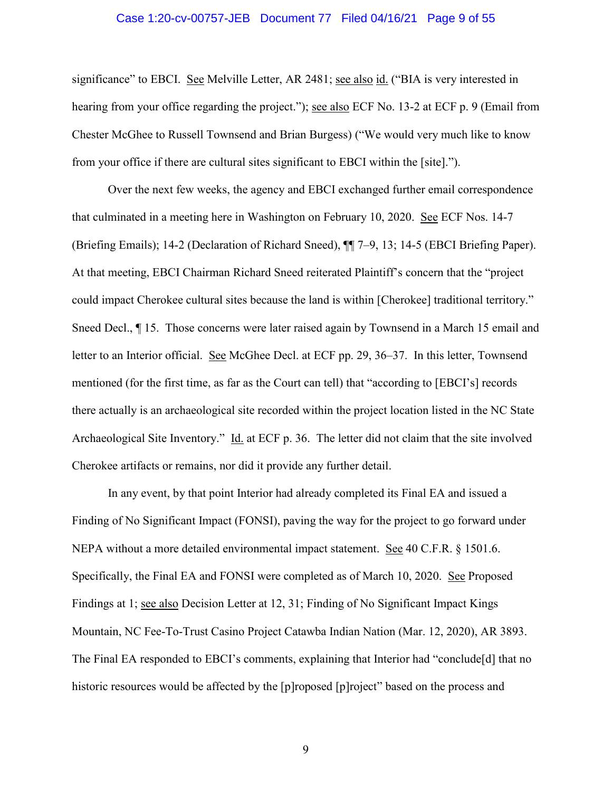### Case 1:20-cv-00757-JEB Document 77 Filed 04/16/21 Page 9 of 55

significance" to EBCI. See Melville Letter, AR 2481; see also id. ("BIA is very interested in hearing from your office regarding the project."); see also ECF No. 13-2 at ECF p. 9 (Email from Chester McGhee to Russell Townsend and Brian Burgess) ("We would very much like to know from your office if there are cultural sites significant to EBCI within the [site].").

Over the next few weeks, the agency and EBCI exchanged further email correspondence that culminated in a meeting here in Washington on February 10, 2020. See ECF Nos. 14-7 (Briefing Emails); 14-2 (Declaration of Richard Sneed), ¶¶ 7–9, 13; 14-5 (EBCI Briefing Paper). At that meeting, EBCI Chairman Richard Sneed reiterated Plaintiff's concern that the "project could impact Cherokee cultural sites because the land is within [Cherokee] traditional territory." Sneed Decl.,  $\P$  15. Those concerns were later raised again by Townsend in a March 15 email and letter to an Interior official. See McGhee Decl. at ECF pp. 29, 36–37. In this letter, Townsend mentioned (for the first time, as far as the Court can tell) that "according to [EBCI's] records there actually is an archaeological site recorded within the project location listed in the NC State Archaeological Site Inventory." Id. at ECF p. 36. The letter did not claim that the site involved Cherokee artifacts or remains, nor did it provide any further detail.

In any event, by that point Interior had already completed its Final EA and issued a Finding of No Significant Impact (FONSI), paving the way for the project to go forward under NEPA without a more detailed environmental impact statement. See 40 C.F.R. § 1501.6. Specifically, the Final EA and FONSI were completed as of March 10, 2020. See Proposed Findings at 1; see also Decision Letter at 12, 31; Finding of No Significant Impact Kings Mountain, NC Fee-To-Trust Casino Project Catawba Indian Nation (Mar. 12, 2020), AR 3893. The Final EA responded to EBCI's comments, explaining that Interior had "conclude[d] that no historic resources would be affected by the [p]roposed [p]roject" based on the process and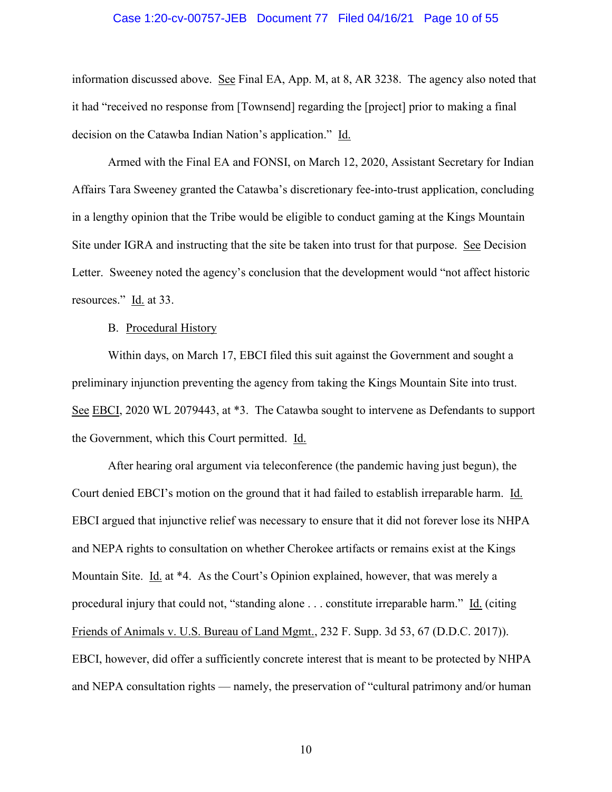### Case 1:20-cv-00757-JEB Document 77 Filed 04/16/21 Page 10 of 55

information discussed above. See Final EA, App. M, at 8, AR 3238. The agency also noted that it had "received no response from [Townsend] regarding the [project] prior to making a final decision on the Catawba Indian Nation's application." Id.

Armed with the Final EA and FONSI, on March 12, 2020, Assistant Secretary for Indian Affairs Tara Sweeney granted the Catawba's discretionary fee-into-trust application, concluding in a lengthy opinion that the Tribe would be eligible to conduct gaming at the Kings Mountain Site under IGRA and instructing that the site be taken into trust for that purpose. See Decision Letter. Sweeney noted the agency's conclusion that the development would "not affect historic resources." Id. at 33.

### B. Procedural History

Within days, on March 17, EBCI filed this suit against the Government and sought a preliminary injunction preventing the agency from taking the Kings Mountain Site into trust. See EBCI, 2020 WL 2079443, at \*3. The Catawba sought to intervene as Defendants to support the Government, which this Court permitted. Id.

After hearing oral argument via teleconference (the pandemic having just begun), the Court denied EBCI's motion on the ground that it had failed to establish irreparable harm. Id. EBCI argued that injunctive relief was necessary to ensure that it did not forever lose its NHPA and NEPA rights to consultation on whether Cherokee artifacts or remains exist at the Kings Mountain Site. Id. at \*4. As the Court's Opinion explained, however, that was merely a procedural injury that could not, "standing alone . . . constitute irreparable harm." Id. (citing Friends of Animals v. U.S. Bureau of Land Mgmt., 232 F. Supp. 3d 53, 67 (D.D.C. 2017)). EBCI, however, did offer a sufficiently concrete interest that is meant to be protected by NHPA and NEPA consultation rights — namely, the preservation of "cultural patrimony and/or human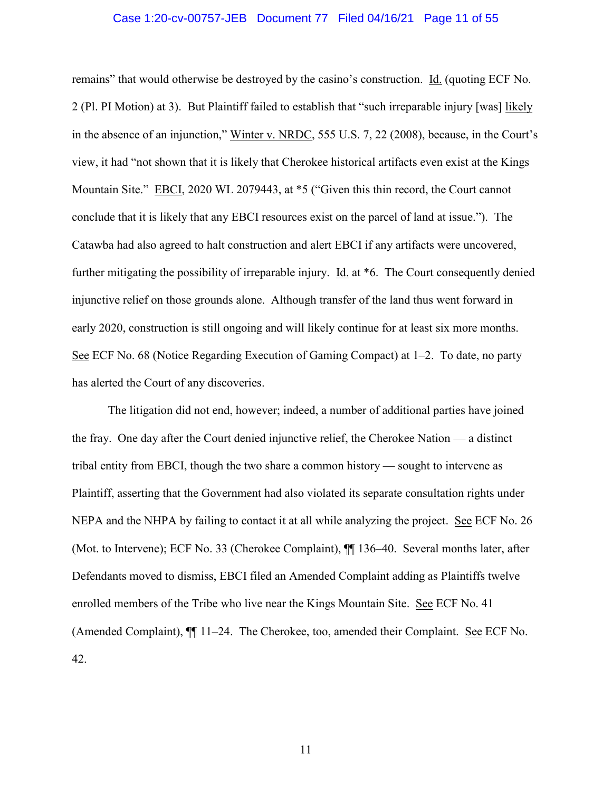### Case 1:20-cv-00757-JEB Document 77 Filed 04/16/21 Page 11 of 55

remains" that would otherwise be destroyed by the casino's construction. Id. (quoting ECF No. 2 (Pl. PI Motion) at 3). But Plaintiff failed to establish that "such irreparable injury [was] likely in the absence of an injunction," Winter v. NRDC, 555 U.S. 7, 22 (2008), because, in the Court's view, it had "not shown that it is likely that Cherokee historical artifacts even exist at the Kings Mountain Site." EBCI, 2020 WL 2079443, at \*5 ("Given this thin record, the Court cannot conclude that it is likely that any EBCI resources exist on the parcel of land at issue."). The Catawba had also agreed to halt construction and alert EBCI if any artifacts were uncovered, further mitigating the possibility of irreparable injury. Id. at \*6. The Court consequently denied injunctive relief on those grounds alone. Although transfer of the land thus went forward in early 2020, construction is still ongoing and will likely continue for at least six more months. See ECF No. 68 (Notice Regarding Execution of Gaming Compact) at 1–2. To date, no party has alerted the Court of any discoveries.

The litigation did not end, however; indeed, a number of additional parties have joined the fray. One day after the Court denied injunctive relief, the Cherokee Nation — a distinct tribal entity from EBCI, though the two share a common history — sought to intervene as Plaintiff, asserting that the Government had also violated its separate consultation rights under NEPA and the NHPA by failing to contact it at all while analyzing the project. See ECF No. 26 (Mot. to Intervene); ECF No. 33 (Cherokee Complaint), ¶¶ 136–40. Several months later, after Defendants moved to dismiss, EBCI filed an Amended Complaint adding as Plaintiffs twelve enrolled members of the Tribe who live near the Kings Mountain Site. See ECF No. 41 (Amended Complaint), ¶¶ 11–24. The Cherokee, too, amended their Complaint. See ECF No. 42.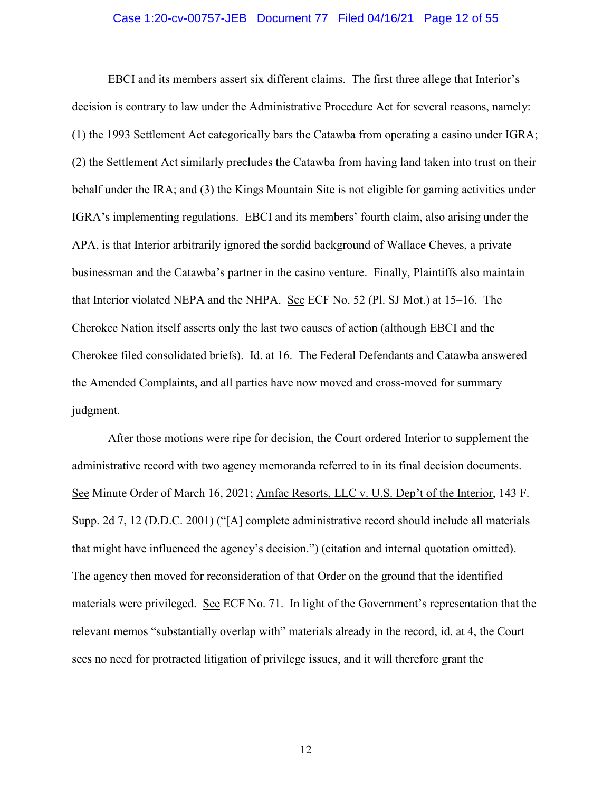### Case 1:20-cv-00757-JEB Document 77 Filed 04/16/21 Page 12 of 55

EBCI and its members assert six different claims. The first three allege that Interior's decision is contrary to law under the Administrative Procedure Act for several reasons, namely: (1) the 1993 Settlement Act categorically bars the Catawba from operating a casino under IGRA; (2) the Settlement Act similarly precludes the Catawba from having land taken into trust on their behalf under the IRA; and (3) the Kings Mountain Site is not eligible for gaming activities under IGRA's implementing regulations. EBCI and its members' fourth claim, also arising under the APA, is that Interior arbitrarily ignored the sordid background of Wallace Cheves, a private businessman and the Catawba's partner in the casino venture. Finally, Plaintiffs also maintain that Interior violated NEPA and the NHPA. See ECF No. 52 (Pl. SJ Mot.) at 15–16. The Cherokee Nation itself asserts only the last two causes of action (although EBCI and the Cherokee filed consolidated briefs). Id. at 16. The Federal Defendants and Catawba answered the Amended Complaints, and all parties have now moved and cross-moved for summary judgment.

After those motions were ripe for decision, the Court ordered Interior to supplement the administrative record with two agency memoranda referred to in its final decision documents. See Minute Order of March 16, 2021; Amfac Resorts, LLC v. U.S. Dep't of the Interior, 143 F. Supp. 2d 7, 12 (D.D.C. 2001) ("[A] complete administrative record should include all materials that might have influenced the agency's decision.") (citation and internal quotation omitted). The agency then moved for reconsideration of that Order on the ground that the identified materials were privileged. See ECF No. 71. In light of the Government's representation that the relevant memos "substantially overlap with" materials already in the record, id. at 4, the Court sees no need for protracted litigation of privilege issues, and it will therefore grant the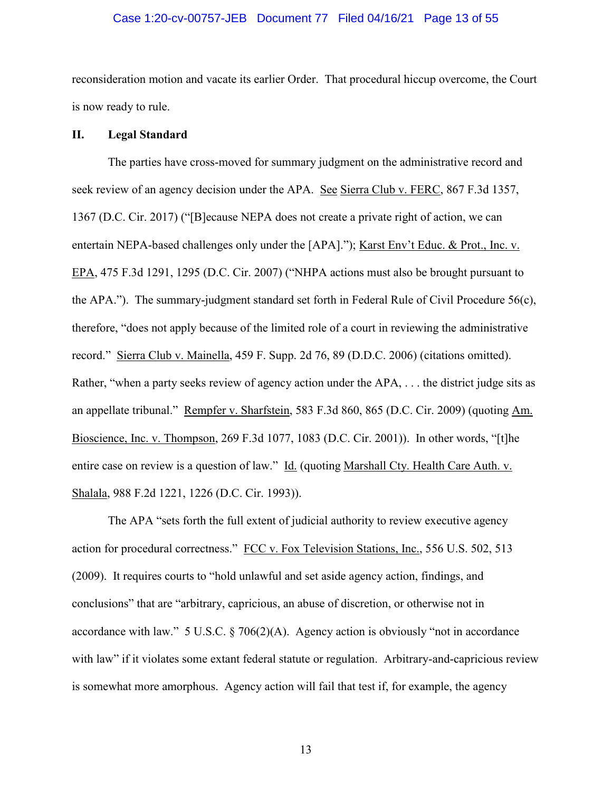### Case 1:20-cv-00757-JEB Document 77 Filed 04/16/21 Page 13 of 55

reconsideration motion and vacate its earlier Order. That procedural hiccup overcome, the Court is now ready to rule.

# **II. Legal Standard**

The parties have cross-moved for summary judgment on the administrative record and seek review of an agency decision under the APA. See Sierra Club v. FERC, 867 F.3d 1357, 1367 (D.C. Cir. 2017) ("[B]ecause NEPA does not create a private right of action, we can entertain NEPA-based challenges only under the [APA]."); Karst Env't Educ. & Prot., Inc. v. EPA, 475 F.3d 1291, 1295 (D.C. Cir. 2007) ("NHPA actions must also be brought pursuant to the APA."). The summary-judgment standard set forth in Federal Rule of Civil Procedure 56(c), therefore, "does not apply because of the limited role of a court in reviewing the administrative record." Sierra Club v. Mainella, 459 F. Supp. 2d 76, 89 (D.D.C. 2006) (citations omitted). Rather, "when a party seeks review of agency action under the APA, . . . the district judge sits as an appellate tribunal." Rempfer v. Sharfstein, 583 F.3d 860, 865 (D.C. Cir. 2009) (quoting Am. Bioscience, Inc. v. Thompson, 269 F.3d 1077, 1083 (D.C. Cir. 2001)). In other words, "[t]he entire case on review is a question of law." Id. (quoting Marshall Cty. Health Care Auth. v. Shalala, 988 F.2d 1221, 1226 (D.C. Cir. 1993)).

The APA "sets forth the full extent of judicial authority to review executive agency action for procedural correctness." FCC v. Fox Television Stations, Inc., 556 U.S. 502, 513 (2009). It requires courts to "hold unlawful and set aside agency action, findings, and conclusions" that are "arbitrary, capricious, an abuse of discretion, or otherwise not in accordance with law." 5 U.S.C. § 706(2)(A). Agency action is obviously "not in accordance with law" if it violates some extant federal statute or regulation. Arbitrary-and-capricious review is somewhat more amorphous. Agency action will fail that test if, for example, the agency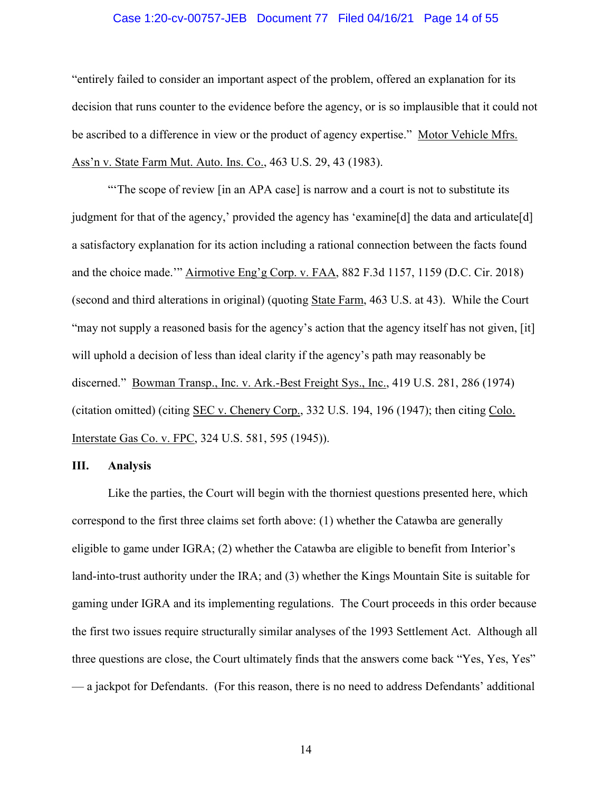### Case 1:20-cv-00757-JEB Document 77 Filed 04/16/21 Page 14 of 55

"entirely failed to consider an important aspect of the problem, offered an explanation for its decision that runs counter to the evidence before the agency, or is so implausible that it could not be ascribed to a difference in view or the product of agency expertise." Motor Vehicle Mfrs. Ass'n v. State Farm Mut. Auto. Ins. Co., 463 U.S. 29, 43 (1983).

"The scope of review [in an APA case] is narrow and a court is not to substitute its judgment for that of the agency,' provided the agency has 'examine[d] the data and articulate[d] a satisfactory explanation for its action including a rational connection between the facts found and the choice made.'" Airmotive Eng'g Corp. v. FAA, 882 F.3d 1157, 1159 (D.C. Cir. 2018) (second and third alterations in original) (quoting State Farm, 463 U.S. at 43). While the Court "may not supply a reasoned basis for the agency's action that the agency itself has not given, [it] will uphold a decision of less than ideal clarity if the agency's path may reasonably be discerned." Bowman Transp., Inc. v. Ark.-Best Freight Sys., Inc., 419 U.S. 281, 286 (1974) (citation omitted) (citing SEC v. Chenery Corp., 332 U.S. 194, 196 (1947); then citing Colo. Interstate Gas Co. v. FPC, 324 U.S. 581, 595 (1945)).

## **III. Analysis**

Like the parties, the Court will begin with the thorniest questions presented here, which correspond to the first three claims set forth above: (1) whether the Catawba are generally eligible to game under IGRA; (2) whether the Catawba are eligible to benefit from Interior's land-into-trust authority under the IRA; and (3) whether the Kings Mountain Site is suitable for gaming under IGRA and its implementing regulations. The Court proceeds in this order because the first two issues require structurally similar analyses of the 1993 Settlement Act. Although all three questions are close, the Court ultimately finds that the answers come back "Yes, Yes, Yes" — a jackpot for Defendants. (For this reason, there is no need to address Defendants' additional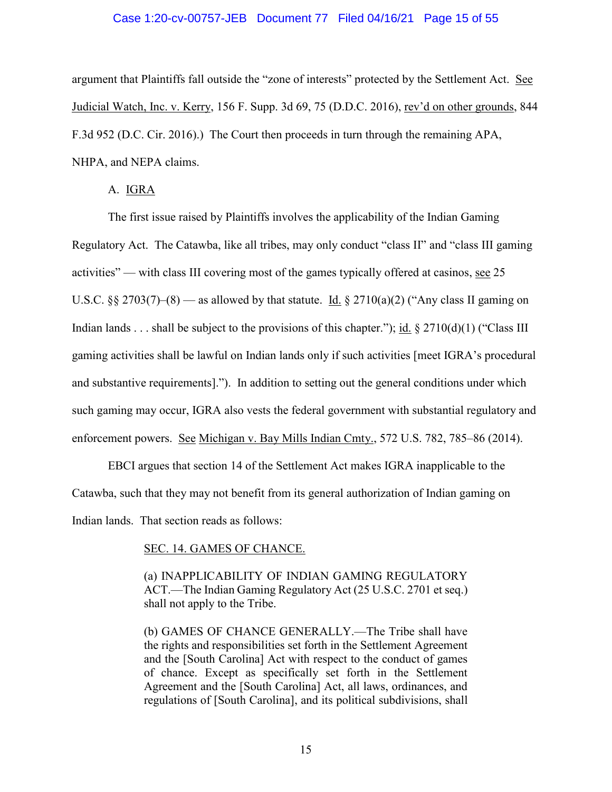### Case 1:20-cv-00757-JEB Document 77 Filed 04/16/21 Page 15 of 55

argument that Plaintiffs fall outside the "zone of interests" protected by the Settlement Act. See Judicial Watch, Inc. v. Kerry, 156 F. Supp. 3d 69, 75 (D.D.C. 2016), rev'd on other grounds, 844 F.3d 952 (D.C. Cir. 2016).) The Court then proceeds in turn through the remaining APA, NHPA, and NEPA claims.

## A. IGRA

The first issue raised by Plaintiffs involves the applicability of the Indian Gaming Regulatory Act. The Catawba, like all tribes, may only conduct "class II" and "class III gaming activities" — with class III covering most of the games typically offered at casinos, see 25 U.S.C. §§ 2703(7)–(8) — as allowed by that statute. Id. § 2710(a)(2) ("Any class II gaming on Indian lands . . . shall be subject to the provisions of this chapter."); id.  $\S 2710(d)(1)$  ("Class III gaming activities shall be lawful on Indian lands only if such activities [meet IGRA's procedural and substantive requirements]."). In addition to setting out the general conditions under which such gaming may occur, IGRA also vests the federal government with substantial regulatory and enforcement powers. See Michigan v. Bay Mills Indian Cmty., 572 U.S. 782, 785–86 (2014).

EBCI argues that section 14 of the Settlement Act makes IGRA inapplicable to the Catawba, such that they may not benefit from its general authorization of Indian gaming on Indian lands. That section reads as follows:

## SEC. 14. GAMES OF CHANCE.

(a) INAPPLICABILITY OF INDIAN GAMING REGULATORY ACT.—The Indian Gaming Regulatory Act (25 U.S.C. 2701 et seq.) shall not apply to the Tribe.

(b) GAMES OF CHANCE GENERALLY.—The Tribe shall have the rights and responsibilities set forth in the Settlement Agreement and the [South Carolina] Act with respect to the conduct of games of chance. Except as specifically set forth in the Settlement Agreement and the [South Carolina] Act, all laws, ordinances, and regulations of [South Carolina], and its political subdivisions, shall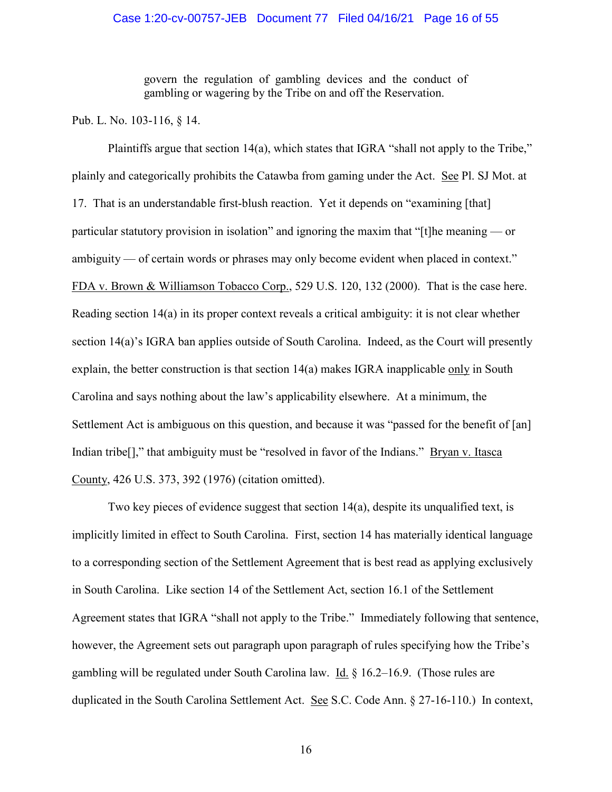### Case 1:20-cv-00757-JEB Document 77 Filed 04/16/21 Page 16 of 55

govern the regulation of gambling devices and the conduct of gambling or wagering by the Tribe on and off the Reservation.

Pub. L. No. 103-116, § 14.

Plaintiffs argue that section 14(a), which states that IGRA "shall not apply to the Tribe," plainly and categorically prohibits the Catawba from gaming under the Act. See Pl. SJ Mot. at 17. That is an understandable first-blush reaction. Yet it depends on "examining [that] particular statutory provision in isolation" and ignoring the maxim that "[t]he meaning — or ambiguity — of certain words or phrases may only become evident when placed in context." FDA v. Brown & Williamson Tobacco Corp., 529 U.S. 120, 132 (2000). That is the case here. Reading section 14(a) in its proper context reveals a critical ambiguity: it is not clear whether section 14(a)'s IGRA ban applies outside of South Carolina. Indeed, as the Court will presently explain, the better construction is that section 14(a) makes IGRA inapplicable only in South Carolina and says nothing about the law's applicability elsewhere. At a minimum, the Settlement Act is ambiguous on this question, and because it was "passed for the benefit of [an] Indian tribe[]," that ambiguity must be "resolved in favor of the Indians." Bryan v. Itasca County, 426 U.S. 373, 392 (1976) (citation omitted).

Two key pieces of evidence suggest that section 14(a), despite its unqualified text, is implicitly limited in effect to South Carolina. First, section 14 has materially identical language to a corresponding section of the Settlement Agreement that is best read as applying exclusively in South Carolina. Like section 14 of the Settlement Act, section 16.1 of the Settlement Agreement states that IGRA "shall not apply to the Tribe." Immediately following that sentence, however, the Agreement sets out paragraph upon paragraph of rules specifying how the Tribe's gambling will be regulated under South Carolina law. Id. § 16.2–16.9. (Those rules are duplicated in the South Carolina Settlement Act. See S.C. Code Ann. § 27-16-110.) In context,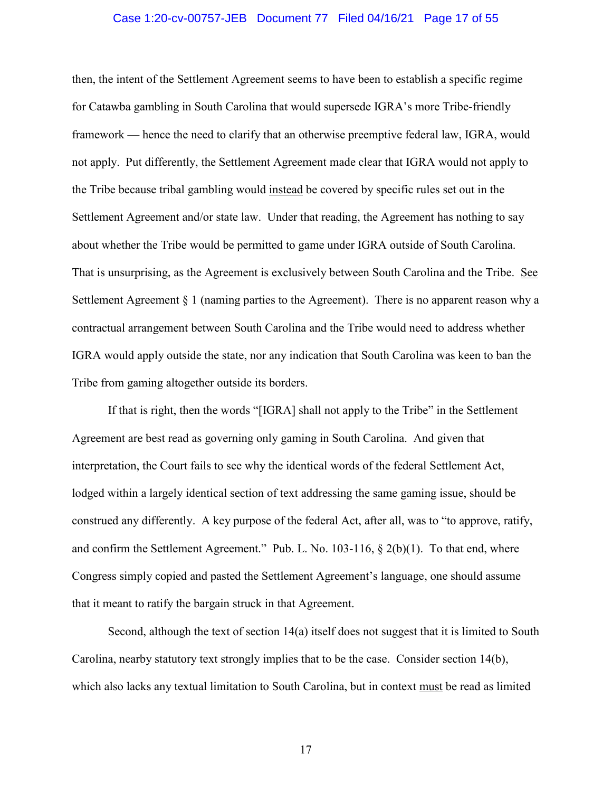### Case 1:20-cv-00757-JEB Document 77 Filed 04/16/21 Page 17 of 55

then, the intent of the Settlement Agreement seems to have been to establish a specific regime for Catawba gambling in South Carolina that would supersede IGRA's more Tribe-friendly framework — hence the need to clarify that an otherwise preemptive federal law, IGRA, would not apply. Put differently, the Settlement Agreement made clear that IGRA would not apply to the Tribe because tribal gambling would instead be covered by specific rules set out in the Settlement Agreement and/or state law. Under that reading, the Agreement has nothing to say about whether the Tribe would be permitted to game under IGRA outside of South Carolina. That is unsurprising, as the Agreement is exclusively between South Carolina and the Tribe. See Settlement Agreement  $\S 1$  (naming parties to the Agreement). There is no apparent reason why a contractual arrangement between South Carolina and the Tribe would need to address whether IGRA would apply outside the state, nor any indication that South Carolina was keen to ban the Tribe from gaming altogether outside its borders.

If that is right, then the words "[IGRA] shall not apply to the Tribe" in the Settlement Agreement are best read as governing only gaming in South Carolina. And given that interpretation, the Court fails to see why the identical words of the federal Settlement Act, lodged within a largely identical section of text addressing the same gaming issue, should be construed any differently. A key purpose of the federal Act, after all, was to "to approve, ratify, and confirm the Settlement Agreement." Pub. L. No. 103-116, § 2(b)(1). To that end, where Congress simply copied and pasted the Settlement Agreement's language, one should assume that it meant to ratify the bargain struck in that Agreement.

Second, although the text of section 14(a) itself does not suggest that it is limited to South Carolina, nearby statutory text strongly implies that to be the case. Consider section 14(b), which also lacks any textual limitation to South Carolina, but in context must be read as limited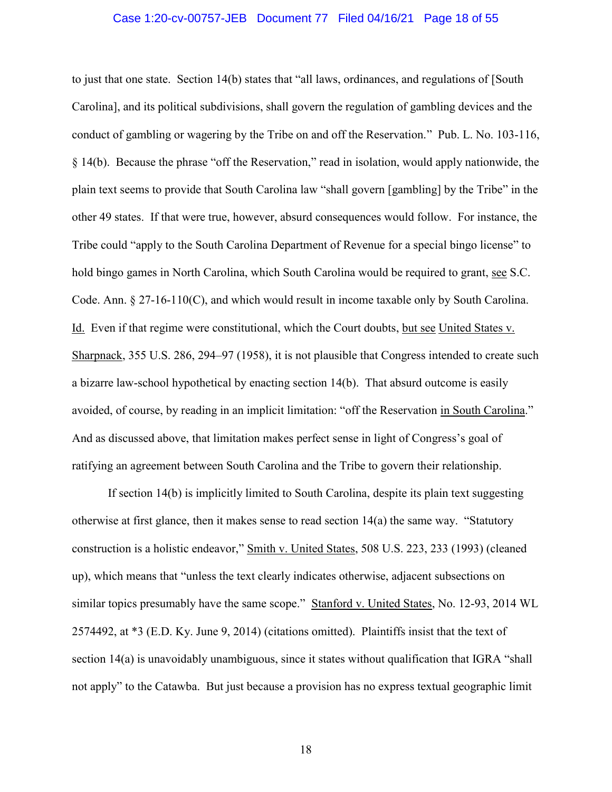### Case 1:20-cv-00757-JEB Document 77 Filed 04/16/21 Page 18 of 55

to just that one state. Section 14(b) states that "all laws, ordinances, and regulations of [South Carolina], and its political subdivisions, shall govern the regulation of gambling devices and the conduct of gambling or wagering by the Tribe on and off the Reservation." Pub. L. No. 103-116, § 14(b). Because the phrase "off the Reservation," read in isolation, would apply nationwide, the plain text seems to provide that South Carolina law "shall govern [gambling] by the Tribe" in the other 49 states. If that were true, however, absurd consequences would follow. For instance, the Tribe could "apply to the South Carolina Department of Revenue for a special bingo license" to hold bingo games in North Carolina, which South Carolina would be required to grant, see S.C. Code. Ann. § 27-16-110(C), and which would result in income taxable only by South Carolina. Id. Even if that regime were constitutional, which the Court doubts, but see United States v. Sharpnack, 355 U.S. 286, 294–97 (1958), it is not plausible that Congress intended to create such a bizarre law-school hypothetical by enacting section 14(b). That absurd outcome is easily avoided, of course, by reading in an implicit limitation: "off the Reservation in South Carolina." And as discussed above, that limitation makes perfect sense in light of Congress's goal of ratifying an agreement between South Carolina and the Tribe to govern their relationship.

If section 14(b) is implicitly limited to South Carolina, despite its plain text suggesting otherwise at first glance, then it makes sense to read section  $14(a)$  the same way. "Statutory construction is a holistic endeavor," Smith v. United States, 508 U.S. 223, 233 (1993) (cleaned up), which means that "unless the text clearly indicates otherwise, adjacent subsections on similar topics presumably have the same scope." Stanford v. United States, No. 12-93, 2014 WL 2574492, at \*3 (E.D. Ky. June 9, 2014) (citations omitted). Plaintiffs insist that the text of section 14(a) is unavoidably unambiguous, since it states without qualification that IGRA "shall not apply" to the Catawba. But just because a provision has no express textual geographic limit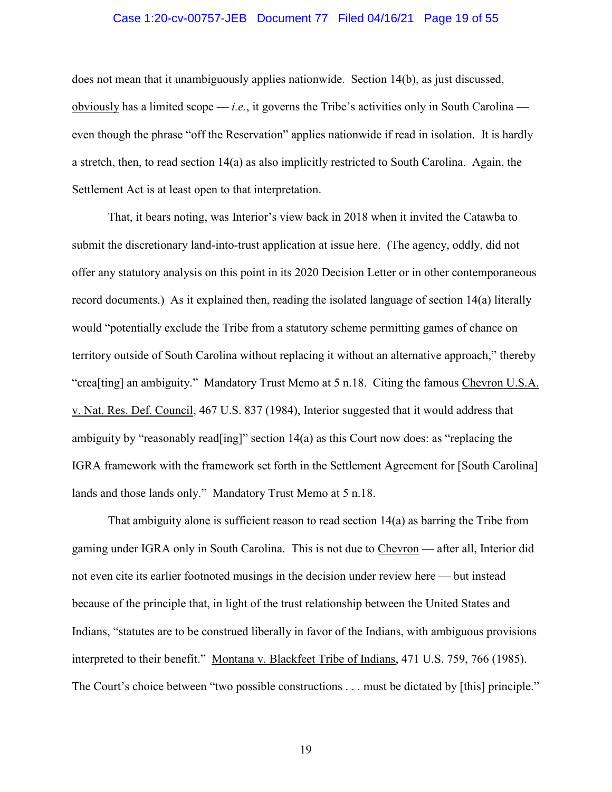### Case 1:20-cv-00757-JEB Document 77 Filed 04/16/21 Page 19 of 55

does not mean that it unambiguously applies nationwide. Section 14(b), as just discussed, obviously has a limited scope  $-i.e.,$  it governs the Tribe's activities only in South Carolina even though the phrase "off the Reservation" applies nationwide if read in isolation. It is hardly a stretch, then, to read section 14(a) as also implicitly restricted to South Carolina. Again, the Settlement Act is at least open to that interpretation.

That, it bears noting, was Interior's view back in 2018 when it invited the Catawba to submit the discretionary land-into-trust application at issue here. (The agency, oddly, did not offer any statutory analysis on this point in its 2020 Decision Letter or in other contemporaneous record documents.) As it explained then, reading the isolated language of section 14(a) literally would "potentially exclude the Tribe from a statutory scheme permitting games of chance on territory outside of South Carolina without replacing it without an alternative approach," thereby "crea[ting] an ambiguity." Mandatory Trust Memo at 5 n.18. Citing the famous Chevron U.S.A. v. Nat. Res. Def. Council, 467 U.S. 837 (1984), Interior suggested that it would address that ambiguity by "reasonably read[ing]" section 14(a) as this Court now does: as "replacing the IGRA framework with the framework set forth in the Settlement Agreement for [South Carolina] lands and those lands only." Mandatory Trust Memo at 5 n.18.

That ambiguity alone is sufficient reason to read section 14(a) as barring the Tribe from gaming under IGRA only in South Carolina. This is not due to Chevron — after all, Interior did not even cite its earlier footnoted musings in the decision under review here — but instead because of the principle that, in light of the trust relationship between the United States and Indians, "statutes are to be construed liberally in favor of the Indians, with ambiguous provisions interpreted to their benefit." Montana v. Blackfeet Tribe of Indians, 471 U.S. 759, 766 (1985). The Court's choice between "two possible constructions . . . must be dictated by [this] principle."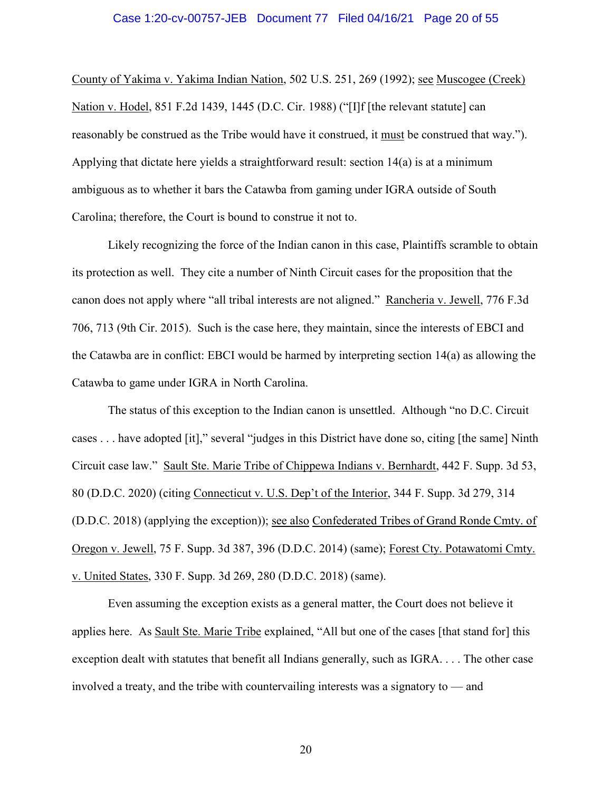#### Case 1:20-cv-00757-JEB Document 77 Filed 04/16/21 Page 20 of 55

County of Yakima v. Yakima Indian Nation, 502 U.S. 251, 269 (1992); see Muscogee (Creek) Nation v. Hodel, 851 F.2d 1439, 1445 (D.C. Cir. 1988) ("[I]f [the relevant statute] can reasonably be construed as the Tribe would have it construed, it must be construed that way."). Applying that dictate here yields a straightforward result: section 14(a) is at a minimum ambiguous as to whether it bars the Catawba from gaming under IGRA outside of South Carolina; therefore, the Court is bound to construe it not to.

Likely recognizing the force of the Indian canon in this case, Plaintiffs scramble to obtain its protection as well. They cite a number of Ninth Circuit cases for the proposition that the canon does not apply where "all tribal interests are not aligned." Rancheria v. Jewell, 776 F.3d 706, 713 (9th Cir. 2015). Such is the case here, they maintain, since the interests of EBCI and the Catawba are in conflict: EBCI would be harmed by interpreting section 14(a) as allowing the Catawba to game under IGRA in North Carolina.

The status of this exception to the Indian canon is unsettled. Although "no D.C. Circuit cases . . . have adopted [it]," several "judges in this District have done so, citing [the same] Ninth Circuit case law." Sault Ste. Marie Tribe of Chippewa Indians v. Bernhardt, 442 F. Supp. 3d 53, 80 (D.D.C. 2020) (citing Connecticut v. U.S. Dep't of the Interior, 344 F. Supp. 3d 279, 314 (D.D.C. 2018) (applying the exception)); see also Confederated Tribes of Grand Ronde Cmty. of Oregon v. Jewell, 75 F. Supp. 3d 387, 396 (D.D.C. 2014) (same); Forest Cty. Potawatomi Cmty. v. United States, 330 F. Supp. 3d 269, 280 (D.D.C. 2018) (same).

Even assuming the exception exists as a general matter, the Court does not believe it applies here. As Sault Ste. Marie Tribe explained, "All but one of the cases [that stand for] this exception dealt with statutes that benefit all Indians generally, such as IGRA. . . . The other case involved a treaty, and the tribe with countervailing interests was a signatory to — and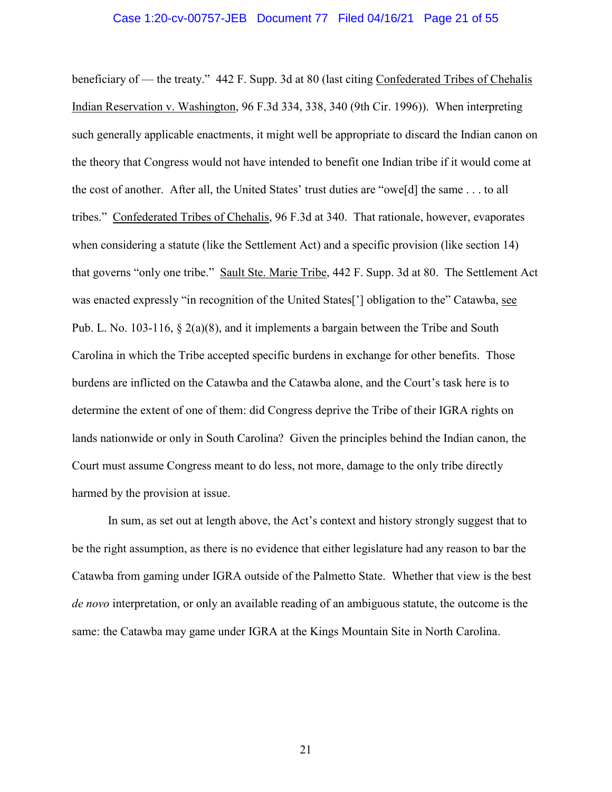#### Case 1:20-cv-00757-JEB Document 77 Filed 04/16/21 Page 21 of 55

beneficiary of — the treaty." 442 F. Supp. 3d at 80 (last citing Confederated Tribes of Chehalis Indian Reservation v. Washington, 96 F.3d 334, 338, 340 (9th Cir. 1996)). When interpreting such generally applicable enactments, it might well be appropriate to discard the Indian canon on the theory that Congress would not have intended to benefit one Indian tribe if it would come at the cost of another. After all, the United States' trust duties are "owe[d] the same . . . to all tribes." Confederated Tribes of Chehalis, 96 F.3d at 340. That rationale, however, evaporates when considering a statute (like the Settlement Act) and a specific provision (like section 14) that governs "only one tribe." Sault Ste. Marie Tribe, 442 F. Supp. 3d at 80. The Settlement Act was enacted expressly "in recognition of the United States['] obligation to the" Catawba, see Pub. L. No. 103-116, § 2(a)(8), and it implements a bargain between the Tribe and South Carolina in which the Tribe accepted specific burdens in exchange for other benefits. Those burdens are inflicted on the Catawba and the Catawba alone, and the Court's task here is to determine the extent of one of them: did Congress deprive the Tribe of their IGRA rights on lands nationwide or only in South Carolina? Given the principles behind the Indian canon, the Court must assume Congress meant to do less, not more, damage to the only tribe directly harmed by the provision at issue.

In sum, as set out at length above, the Act's context and history strongly suggest that to be the right assumption, as there is no evidence that either legislature had any reason to bar the Catawba from gaming under IGRA outside of the Palmetto State. Whether that view is the best *de novo* interpretation, or only an available reading of an ambiguous statute, the outcome is the same: the Catawba may game under IGRA at the Kings Mountain Site in North Carolina.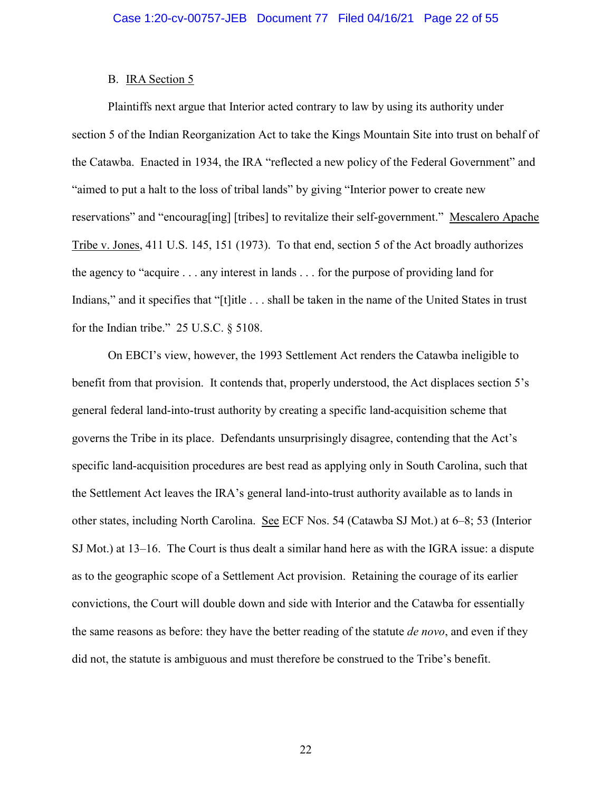### B. IRA Section 5

Plaintiffs next argue that Interior acted contrary to law by using its authority under section 5 of the Indian Reorganization Act to take the Kings Mountain Site into trust on behalf of the Catawba. Enacted in 1934, the IRA "reflected a new policy of the Federal Government" and "aimed to put a halt to the loss of tribal lands" by giving "Interior power to create new reservations" and "encourag[ing] [tribes] to revitalize their self-government." Mescalero Apache Tribe v. Jones, 411 U.S. 145, 151 (1973). To that end, section 5 of the Act broadly authorizes the agency to "acquire . . . any interest in lands . . . for the purpose of providing land for Indians," and it specifies that "[t]itle . . . shall be taken in the name of the United States in trust for the Indian tribe." 25 U.S.C. § 5108.

On EBCI's view, however, the 1993 Settlement Act renders the Catawba ineligible to benefit from that provision. It contends that, properly understood, the Act displaces section 5's general federal land-into-trust authority by creating a specific land-acquisition scheme that governs the Tribe in its place. Defendants unsurprisingly disagree, contending that the Act's specific land-acquisition procedures are best read as applying only in South Carolina, such that the Settlement Act leaves the IRA's general land-into-trust authority available as to lands in other states, including North Carolina. See ECF Nos. 54 (Catawba SJ Mot.) at 6–8; 53 (Interior SJ Mot.) at 13–16. The Court is thus dealt a similar hand here as with the IGRA issue: a dispute as to the geographic scope of a Settlement Act provision. Retaining the courage of its earlier convictions, the Court will double down and side with Interior and the Catawba for essentially the same reasons as before: they have the better reading of the statute *de novo*, and even if they did not, the statute is ambiguous and must therefore be construed to the Tribe's benefit.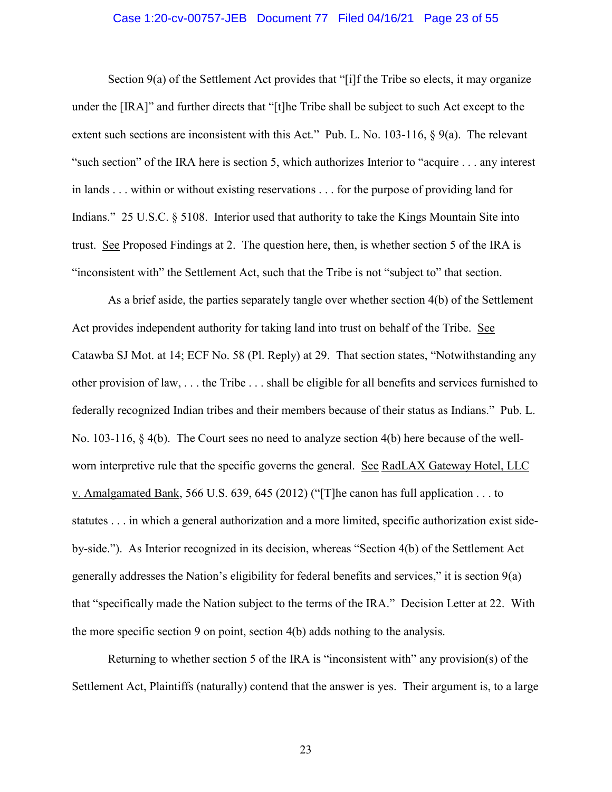### Case 1:20-cv-00757-JEB Document 77 Filed 04/16/21 Page 23 of 55

Section 9(a) of the Settlement Act provides that "[i]f the Tribe so elects, it may organize under the [IRA]" and further directs that "[t]he Tribe shall be subject to such Act except to the extent such sections are inconsistent with this Act." Pub. L. No. 103-116, § 9(a). The relevant "such section" of the IRA here is section 5, which authorizes Interior to "acquire . . . any interest in lands . . . within or without existing reservations . . . for the purpose of providing land for Indians." 25 U.S.C. § 5108. Interior used that authority to take the Kings Mountain Site into trust. See Proposed Findings at 2. The question here, then, is whether section 5 of the IRA is "inconsistent with" the Settlement Act, such that the Tribe is not "subject to" that section.

As a brief aside, the parties separately tangle over whether section 4(b) of the Settlement Act provides independent authority for taking land into trust on behalf of the Tribe. See Catawba SJ Mot. at 14; ECF No. 58 (Pl. Reply) at 29. That section states, "Notwithstanding any other provision of law, . . . the Tribe . . . shall be eligible for all benefits and services furnished to federally recognized Indian tribes and their members because of their status as Indians." Pub. L. No. 103-116, § 4(b). The Court sees no need to analyze section 4(b) here because of the wellworn interpretive rule that the specific governs the general. See RadLAX Gateway Hotel, LLC v. Amalgamated Bank, 566 U.S. 639, 645 (2012) ("[T]he canon has full application . . . to statutes . . . in which a general authorization and a more limited, specific authorization exist sideby-side."). As Interior recognized in its decision, whereas "Section 4(b) of the Settlement Act generally addresses the Nation's eligibility for federal benefits and services," it is section 9(a) that "specifically made the Nation subject to the terms of the IRA." Decision Letter at 22. With the more specific section 9 on point, section 4(b) adds nothing to the analysis.

Returning to whether section 5 of the IRA is "inconsistent with" any provision(s) of the Settlement Act, Plaintiffs (naturally) contend that the answer is yes. Their argument is, to a large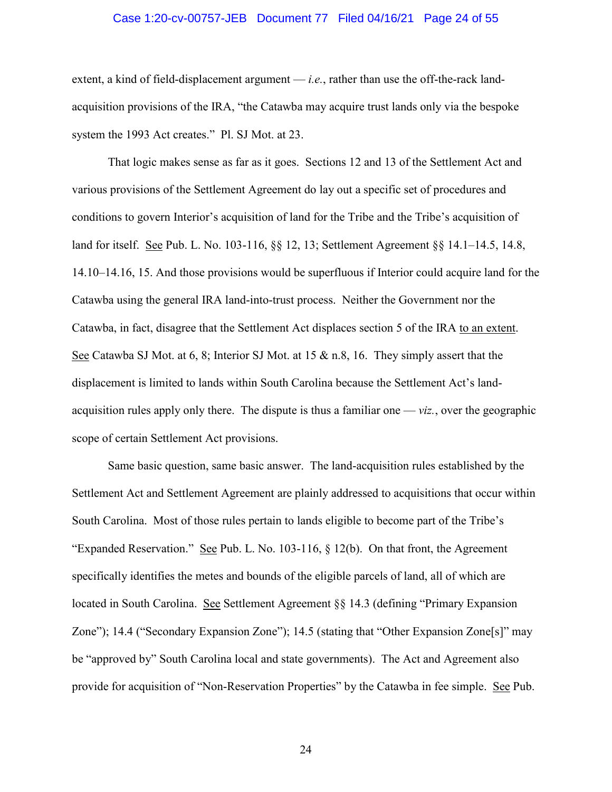### Case 1:20-cv-00757-JEB Document 77 Filed 04/16/21 Page 24 of 55

extent, a kind of field-displacement argument — *i.e.*, rather than use the off-the-rack landacquisition provisions of the IRA, "the Catawba may acquire trust lands only via the bespoke system the 1993 Act creates." Pl. SJ Mot. at 23.

That logic makes sense as far as it goes. Sections 12 and 13 of the Settlement Act and various provisions of the Settlement Agreement do lay out a specific set of procedures and conditions to govern Interior's acquisition of land for the Tribe and the Tribe's acquisition of land for itself. See Pub. L. No. 103-116, §§ 12, 13; Settlement Agreement §§ 14.1–14.5, 14.8, 14.10–14.16, 15. And those provisions would be superfluous if Interior could acquire land for the Catawba using the general IRA land-into-trust process. Neither the Government nor the Catawba, in fact, disagree that the Settlement Act displaces section 5 of the IRA to an extent. See Catawba SJ Mot. at 6, 8; Interior SJ Mot. at 15 & n.8, 16. They simply assert that the displacement is limited to lands within South Carolina because the Settlement Act's landacquisition rules apply only there. The dispute is thus a familiar one — *viz.*, over the geographic scope of certain Settlement Act provisions.

Same basic question, same basic answer. The land-acquisition rules established by the Settlement Act and Settlement Agreement are plainly addressed to acquisitions that occur within South Carolina. Most of those rules pertain to lands eligible to become part of the Tribe's "Expanded Reservation." See Pub. L. No. 103-116,  $\S$  12(b). On that front, the Agreement specifically identifies the metes and bounds of the eligible parcels of land, all of which are located in South Carolina. See Settlement Agreement §§ 14.3 (defining "Primary Expansion Zone"); 14.4 ("Secondary Expansion Zone"); 14.5 (stating that "Other Expansion Zone[s]" may be "approved by" South Carolina local and state governments). The Act and Agreement also provide for acquisition of "Non-Reservation Properties" by the Catawba in fee simple. See Pub.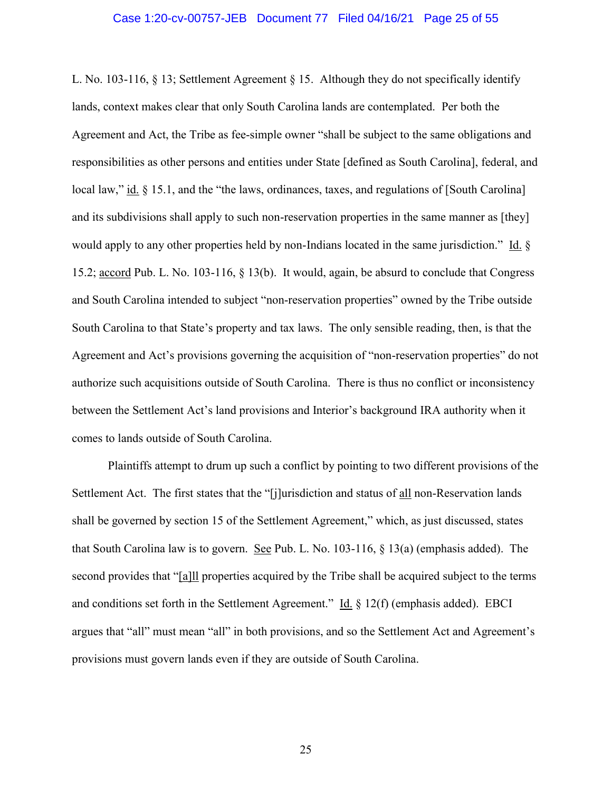#### Case 1:20-cv-00757-JEB Document 77 Filed 04/16/21 Page 25 of 55

L. No. 103-116, § 13; Settlement Agreement § 15. Although they do not specifically identify lands, context makes clear that only South Carolina lands are contemplated. Per both the Agreement and Act, the Tribe as fee-simple owner "shall be subject to the same obligations and responsibilities as other persons and entities under State [defined as South Carolina], federal, and local law," id. § 15.1, and the "the laws, ordinances, taxes, and regulations of [South Carolina] and its subdivisions shall apply to such non-reservation properties in the same manner as [they] would apply to any other properties held by non-Indians located in the same jurisdiction." Id. § 15.2; accord Pub. L. No. 103-116, § 13(b). It would, again, be absurd to conclude that Congress and South Carolina intended to subject "non-reservation properties" owned by the Tribe outside South Carolina to that State's property and tax laws. The only sensible reading, then, is that the Agreement and Act's provisions governing the acquisition of "non-reservation properties" do not authorize such acquisitions outside of South Carolina. There is thus no conflict or inconsistency between the Settlement Act's land provisions and Interior's background IRA authority when it comes to lands outside of South Carolina.

Plaintiffs attempt to drum up such a conflict by pointing to two different provisions of the Settlement Act. The first states that the "[j]urisdiction and status of all non-Reservation lands shall be governed by section 15 of the Settlement Agreement," which, as just discussed, states that South Carolina law is to govern. See Pub. L. No. 103-116,  $\S$  13(a) (emphasis added). The second provides that "[a]ll properties acquired by the Tribe shall be acquired subject to the terms and conditions set forth in the Settlement Agreement." Id. § 12(f) (emphasis added). EBCI argues that "all" must mean "all" in both provisions, and so the Settlement Act and Agreement's provisions must govern lands even if they are outside of South Carolina.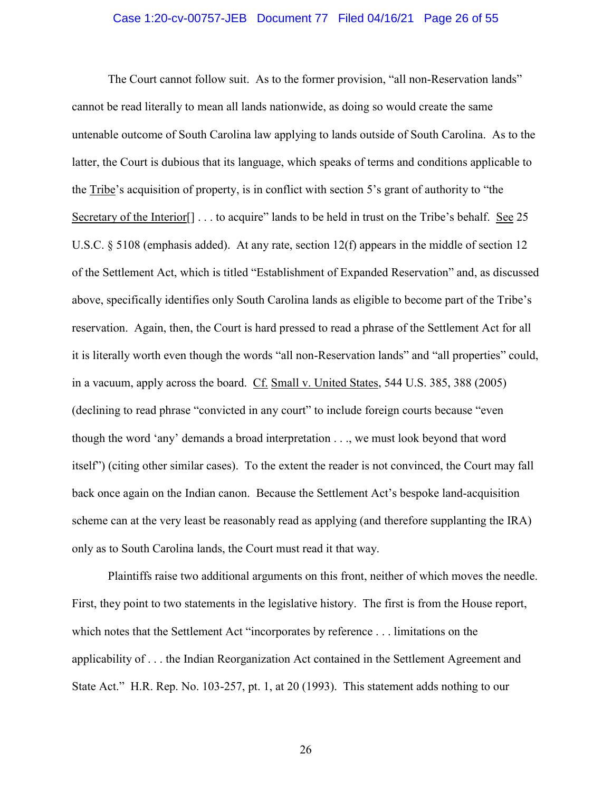### Case 1:20-cv-00757-JEB Document 77 Filed 04/16/21 Page 26 of 55

The Court cannot follow suit. As to the former provision, "all non-Reservation lands" cannot be read literally to mean all lands nationwide, as doing so would create the same untenable outcome of South Carolina law applying to lands outside of South Carolina. As to the latter, the Court is dubious that its language, which speaks of terms and conditions applicable to the Tribe's acquisition of property, is in conflict with section 5's grant of authority to "the Secretary of the Interior<sup>[]</sup> . . . to acquire" lands to be held in trust on the Tribe's behalf. <u>See</u> 25 U.S.C. § 5108 (emphasis added). At any rate, section 12(f) appears in the middle of section 12 of the Settlement Act, which is titled "Establishment of Expanded Reservation" and, as discussed above, specifically identifies only South Carolina lands as eligible to become part of the Tribe's reservation. Again, then, the Court is hard pressed to read a phrase of the Settlement Act for all it is literally worth even though the words "all non-Reservation lands" and "all properties" could, in a vacuum, apply across the board. Cf. Small v. United States, 544 U.S. 385, 388 (2005) (declining to read phrase "convicted in any court" to include foreign courts because "even though the word 'any' demands a broad interpretation . . ., we must look beyond that word itself") (citing other similar cases). To the extent the reader is not convinced, the Court may fall back once again on the Indian canon. Because the Settlement Act's bespoke land-acquisition scheme can at the very least be reasonably read as applying (and therefore supplanting the IRA) only as to South Carolina lands, the Court must read it that way.

Plaintiffs raise two additional arguments on this front, neither of which moves the needle. First, they point to two statements in the legislative history. The first is from the House report, which notes that the Settlement Act "incorporates by reference . . . limitations on the applicability of . . . the Indian Reorganization Act contained in the Settlement Agreement and State Act." H.R. Rep. No. 103-257, pt. 1, at 20 (1993). This statement adds nothing to our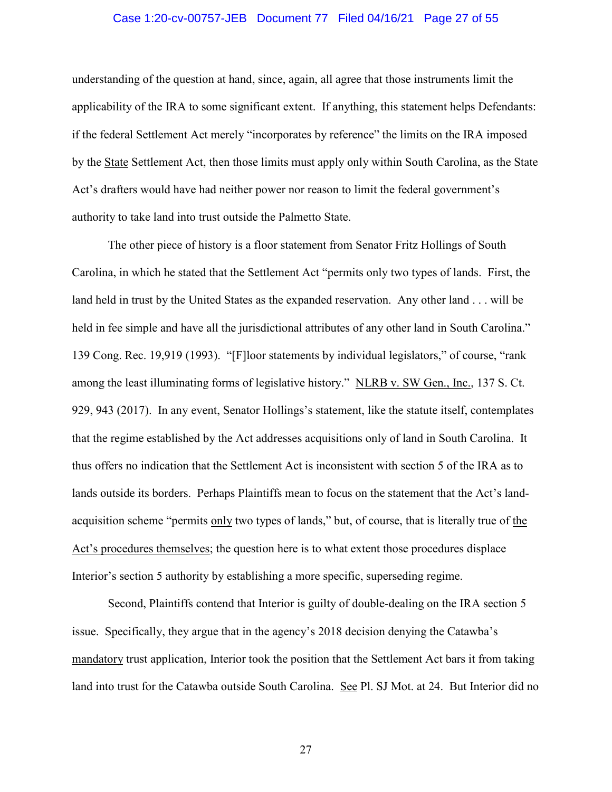### Case 1:20-cv-00757-JEB Document 77 Filed 04/16/21 Page 27 of 55

understanding of the question at hand, since, again, all agree that those instruments limit the applicability of the IRA to some significant extent. If anything, this statement helps Defendants: if the federal Settlement Act merely "incorporates by reference" the limits on the IRA imposed by the State Settlement Act, then those limits must apply only within South Carolina, as the State Act's drafters would have had neither power nor reason to limit the federal government's authority to take land into trust outside the Palmetto State.

The other piece of history is a floor statement from Senator Fritz Hollings of South Carolina, in which he stated that the Settlement Act "permits only two types of lands. First, the land held in trust by the United States as the expanded reservation. Any other land . . . will be held in fee simple and have all the jurisdictional attributes of any other land in South Carolina." 139 Cong. Rec. 19,919 (1993). "[F]loor statements by individual legislators," of course, "rank among the least illuminating forms of legislative history." NLRB v. SW Gen., Inc., 137 S. Ct. 929, 943 (2017). In any event, Senator Hollings's statement, like the statute itself, contemplates that the regime established by the Act addresses acquisitions only of land in South Carolina. It thus offers no indication that the Settlement Act is inconsistent with section 5 of the IRA as to lands outside its borders. Perhaps Plaintiffs mean to focus on the statement that the Act's landacquisition scheme "permits only two types of lands," but, of course, that is literally true of the Act's procedures themselves; the question here is to what extent those procedures displace Interior's section 5 authority by establishing a more specific, superseding regime.

Second, Plaintiffs contend that Interior is guilty of double-dealing on the IRA section 5 issue. Specifically, they argue that in the agency's 2018 decision denying the Catawba's mandatory trust application, Interior took the position that the Settlement Act bars it from taking land into trust for the Catawba outside South Carolina. See Pl. SJ Mot. at 24. But Interior did no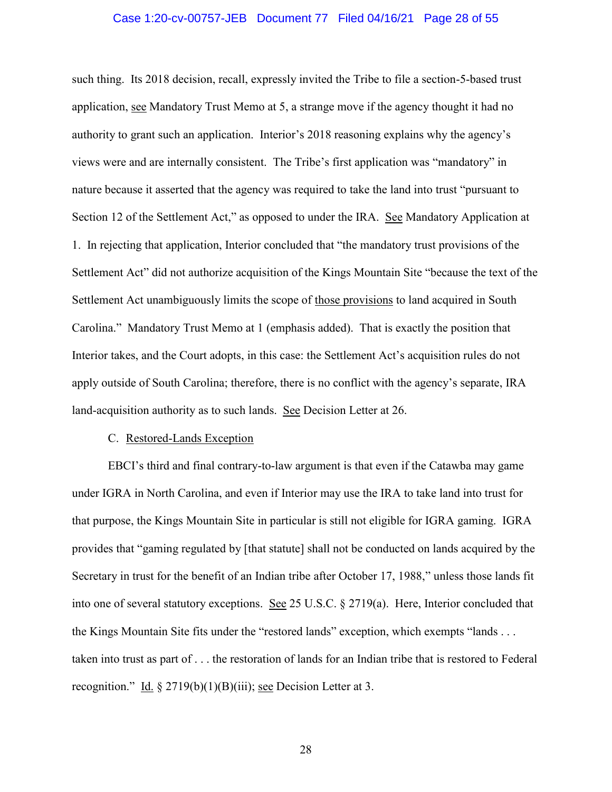### Case 1:20-cv-00757-JEB Document 77 Filed 04/16/21 Page 28 of 55

such thing. Its 2018 decision, recall, expressly invited the Tribe to file a section-5-based trust application, see Mandatory Trust Memo at 5, a strange move if the agency thought it had no authority to grant such an application. Interior's 2018 reasoning explains why the agency's views were and are internally consistent. The Tribe's first application was "mandatory" in nature because it asserted that the agency was required to take the land into trust "pursuant to Section 12 of the Settlement Act," as opposed to under the IRA. See Mandatory Application at 1. In rejecting that application, Interior concluded that "the mandatory trust provisions of the Settlement Act" did not authorize acquisition of the Kings Mountain Site "because the text of the Settlement Act unambiguously limits the scope of those provisions to land acquired in South Carolina." Mandatory Trust Memo at 1 (emphasis added). That is exactly the position that Interior takes, and the Court adopts, in this case: the Settlement Act's acquisition rules do not apply outside of South Carolina; therefore, there is no conflict with the agency's separate, IRA land-acquisition authority as to such lands. See Decision Letter at 26.

#### C. Restored-Lands Exception

EBCI's third and final contrary-to-law argument is that even if the Catawba may game under IGRA in North Carolina, and even if Interior may use the IRA to take land into trust for that purpose, the Kings Mountain Site in particular is still not eligible for IGRA gaming. IGRA provides that "gaming regulated by [that statute] shall not be conducted on lands acquired by the Secretary in trust for the benefit of an Indian tribe after October 17, 1988," unless those lands fit into one of several statutory exceptions. See 25 U.S.C. § 2719(a). Here, Interior concluded that the Kings Mountain Site fits under the "restored lands" exception, which exempts "lands . . . taken into trust as part of . . . the restoration of lands for an Indian tribe that is restored to Federal recognition." Id. § 2719(b)(1)(B)(iii); <u>see</u> Decision Letter at 3.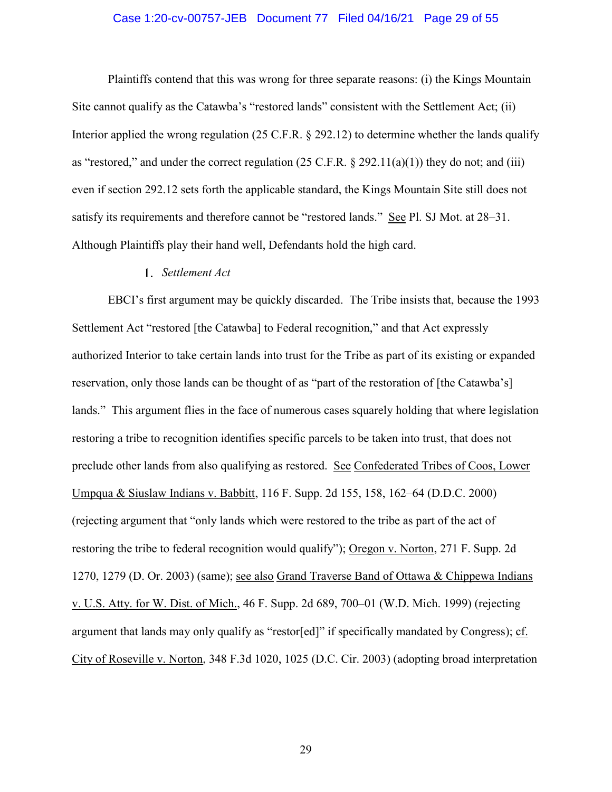### Case 1:20-cv-00757-JEB Document 77 Filed 04/16/21 Page 29 of 55

Plaintiffs contend that this was wrong for three separate reasons: (i) the Kings Mountain Site cannot qualify as the Catawba's "restored lands" consistent with the Settlement Act; (ii) Interior applied the wrong regulation (25 C.F.R. § 292.12) to determine whether the lands qualify as "restored," and under the correct regulation  $(25 \text{ C.F.R.} \S 292.11(a)(1))$  they do not; and (iii) even if section 292.12 sets forth the applicable standard, the Kings Mountain Site still does not satisfy its requirements and therefore cannot be "restored lands." See Pl. SJ Mot. at 28–31. Although Plaintiffs play their hand well, Defendants hold the high card.

### *Settlement Act*

EBCI's first argument may be quickly discarded. The Tribe insists that, because the 1993 Settlement Act "restored [the Catawba] to Federal recognition," and that Act expressly authorized Interior to take certain lands into trust for the Tribe as part of its existing or expanded reservation, only those lands can be thought of as "part of the restoration of [the Catawba's] lands." This argument flies in the face of numerous cases squarely holding that where legislation restoring a tribe to recognition identifies specific parcels to be taken into trust, that does not preclude other lands from also qualifying as restored. See Confederated Tribes of Coos, Lower Umpqua & Siuslaw Indians v. Babbitt, 116 F. Supp. 2d 155, 158, 162–64 (D.D.C. 2000) (rejecting argument that "only lands which were restored to the tribe as part of the act of restoring the tribe to federal recognition would qualify"); Oregon v. Norton, 271 F. Supp. 2d 1270, 1279 (D. Or. 2003) (same); see also Grand Traverse Band of Ottawa & Chippewa Indians v. U.S. Atty. for W. Dist. of Mich., 46 F. Supp. 2d 689, 700–01 (W.D. Mich. 1999) (rejecting argument that lands may only qualify as "restor[ed]" if specifically mandated by Congress); cf. City of Roseville v. Norton, 348 F.3d 1020, 1025 (D.C. Cir. 2003) (adopting broad interpretation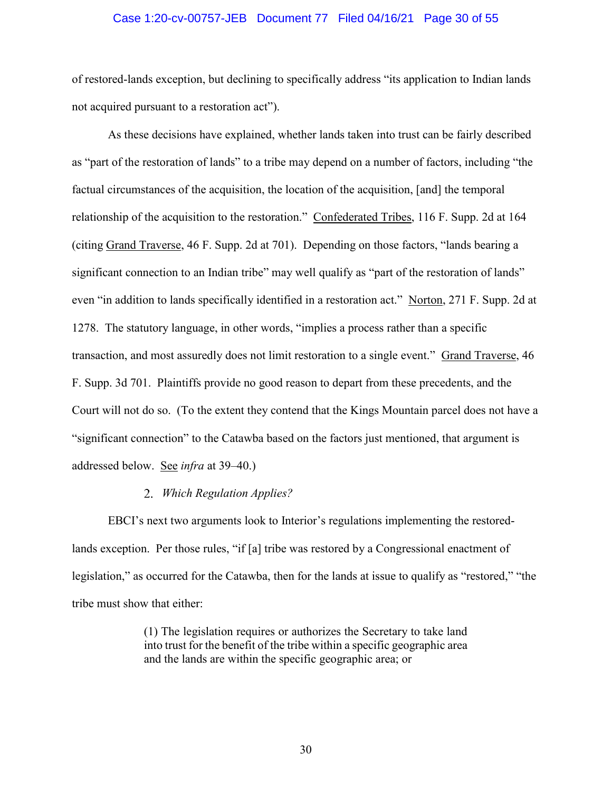### Case 1:20-cv-00757-JEB Document 77 Filed 04/16/21 Page 30 of 55

of restored-lands exception, but declining to specifically address "its application to Indian lands not acquired pursuant to a restoration act").

As these decisions have explained, whether lands taken into trust can be fairly described as "part of the restoration of lands" to a tribe may depend on a number of factors, including "the factual circumstances of the acquisition, the location of the acquisition, [and] the temporal relationship of the acquisition to the restoration." Confederated Tribes, 116 F. Supp. 2d at 164 (citing Grand Traverse, 46 F. Supp. 2d at 701). Depending on those factors, "lands bearing a significant connection to an Indian tribe" may well qualify as "part of the restoration of lands" even "in addition to lands specifically identified in a restoration act." Norton, 271 F. Supp. 2d at 1278. The statutory language, in other words, "implies a process rather than a specific transaction, and most assuredly does not limit restoration to a single event." Grand Traverse, 46 F. Supp. 3d 701. Plaintiffs provide no good reason to depart from these precedents, and the Court will not do so. (To the extent they contend that the Kings Mountain parcel does not have a "significant connection" to the Catawba based on the factors just mentioned, that argument is addressed below. See *infra* at 39–40.)

## *Which Regulation Applies?*

EBCI's next two arguments look to Interior's regulations implementing the restoredlands exception. Per those rules, "if [a] tribe was restored by a Congressional enactment of legislation," as occurred for the Catawba, then for the lands at issue to qualify as "restored," "the tribe must show that either:

> (1) The legislation requires or authorizes the Secretary to take land into trust for the benefit of the tribe within a specific geographic area and the lands are within the specific geographic area; or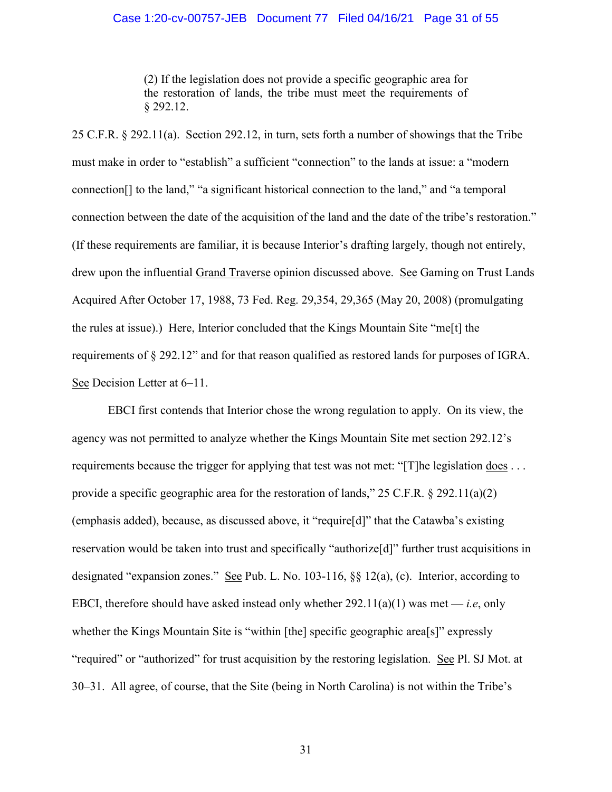### Case 1:20-cv-00757-JEB Document 77 Filed 04/16/21 Page 31 of 55

(2) If the legislation does not provide a specific geographic area for the restoration of lands, the tribe must meet the requirements of § 292.12.

25 C.F.R. § 292.11(a). Section 292.12, in turn, sets forth a number of showings that the Tribe must make in order to "establish" a sufficient "connection" to the lands at issue: a "modern connection[] to the land," "a significant historical connection to the land," and "a temporal connection between the date of the acquisition of the land and the date of the tribe's restoration." (If these requirements are familiar, it is because Interior's drafting largely, though not entirely, drew upon the influential Grand Traverse opinion discussed above. See Gaming on Trust Lands Acquired After October 17, 1988, 73 Fed. Reg. 29,354, 29,365 (May 20, 2008) (promulgating the rules at issue).) Here, Interior concluded that the Kings Mountain Site "me[t] the requirements of § 292.12" and for that reason qualified as restored lands for purposes of IGRA. See Decision Letter at 6–11.

EBCI first contends that Interior chose the wrong regulation to apply. On its view, the agency was not permitted to analyze whether the Kings Mountain Site met section 292.12's requirements because the trigger for applying that test was not met: "[T]he legislation does . . . provide a specific geographic area for the restoration of lands,"  $25$  C.F.R.  $\S 292.11(a)(2)$ (emphasis added), because, as discussed above, it "require[d]" that the Catawba's existing reservation would be taken into trust and specifically "authorize[d]" further trust acquisitions in designated "expansion zones." See Pub. L. No. 103-116, §§ 12(a), (c). Interior, according to EBCI, therefore should have asked instead only whether  $292.11(a)(1)$  was met — *i.e.*, only whether the Kings Mountain Site is "within [the] specific geographic area[s]" expressly "required" or "authorized" for trust acquisition by the restoring legislation. See Pl. SJ Mot. at 30–31. All agree, of course, that the Site (being in North Carolina) is not within the Tribe's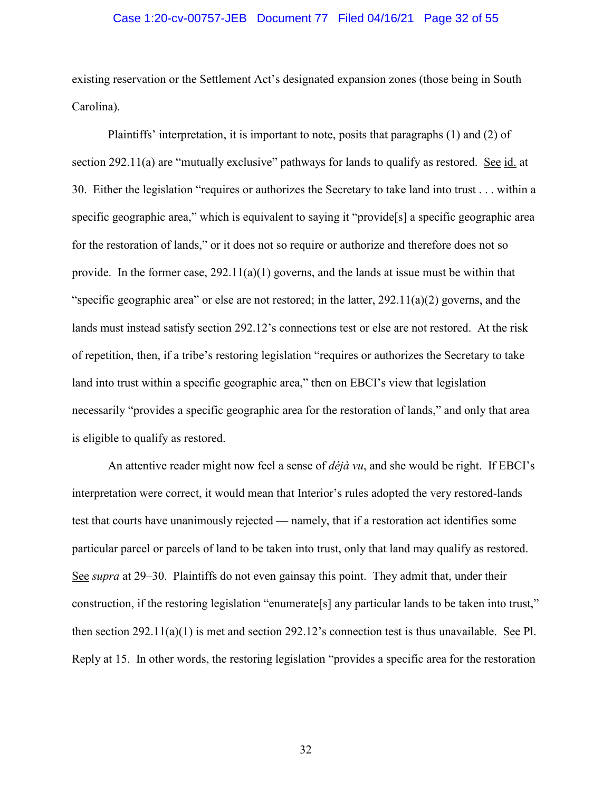### Case 1:20-cv-00757-JEB Document 77 Filed 04/16/21 Page 32 of 55

existing reservation or the Settlement Act's designated expansion zones (those being in South Carolina).

Plaintiffs' interpretation, it is important to note, posits that paragraphs (1) and (2) of section 292.11(a) are "mutually exclusive" pathways for lands to qualify as restored. See id. at 30. Either the legislation "requires or authorizes the Secretary to take land into trust . . . within a specific geographic area," which is equivalent to saying it "provide[s] a specific geographic area for the restoration of lands," or it does not so require or authorize and therefore does not so provide. In the former case,  $292.11(a)(1)$  governs, and the lands at issue must be within that "specific geographic area" or else are not restored; in the latter, 292.11(a)(2) governs, and the lands must instead satisfy section 292.12's connections test or else are not restored. At the risk of repetition, then, if a tribe's restoring legislation "requires or authorizes the Secretary to take land into trust within a specific geographic area," then on EBCI's view that legislation necessarily "provides a specific geographic area for the restoration of lands," and only that area is eligible to qualify as restored.

An attentive reader might now feel a sense of *déjà vu*, and she would be right. If EBCI's interpretation were correct, it would mean that Interior's rules adopted the very restored-lands test that courts have unanimously rejected — namely, that if a restoration act identifies some particular parcel or parcels of land to be taken into trust, only that land may qualify as restored. See *supra* at 29–30. Plaintiffs do not even gainsay this point. They admit that, under their construction, if the restoring legislation "enumerate[s] any particular lands to be taken into trust," then section 292.11(a)(1) is met and section 292.12's connection test is thus unavailable. See Pl. Reply at 15. In other words, the restoring legislation "provides a specific area for the restoration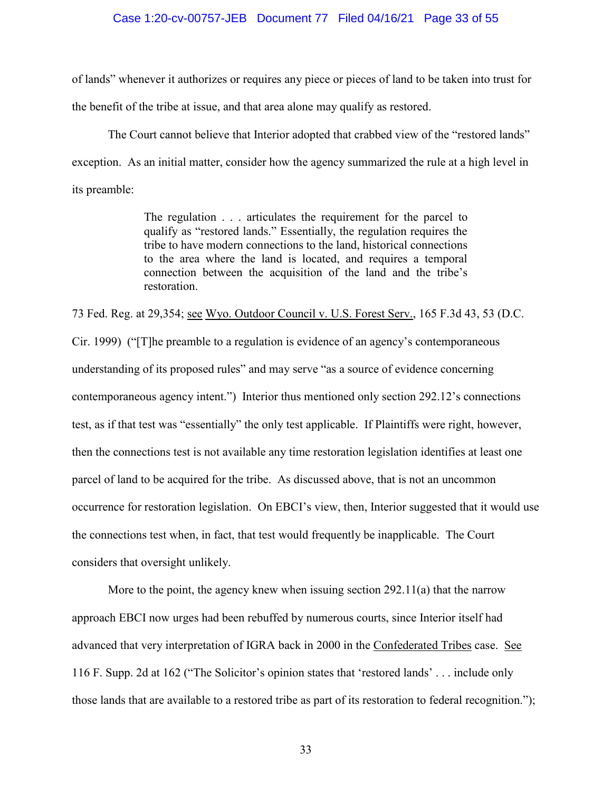### Case 1:20-cv-00757-JEB Document 77 Filed 04/16/21 Page 33 of 55

of lands" whenever it authorizes or requires any piece or pieces of land to be taken into trust for the benefit of the tribe at issue, and that area alone may qualify as restored.

The Court cannot believe that Interior adopted that crabbed view of the "restored lands" exception. As an initial matter, consider how the agency summarized the rule at a high level in its preamble:

> The regulation . . . articulates the requirement for the parcel to qualify as "restored lands." Essentially, the regulation requires the tribe to have modern connections to the land, historical connections to the area where the land is located, and requires a temporal connection between the acquisition of the land and the tribe's restoration.

73 Fed. Reg. at 29,354; see Wyo. Outdoor Council v. U.S. Forest Serv., 165 F.3d 43, 53 (D.C. Cir. 1999) ("[T]he preamble to a regulation is evidence of an agency's contemporaneous understanding of its proposed rules" and may serve "as a source of evidence concerning contemporaneous agency intent.") Interior thus mentioned only section 292.12's connections test, as if that test was "essentially" the only test applicable. If Plaintiffs were right, however, then the connections test is not available any time restoration legislation identifies at least one parcel of land to be acquired for the tribe. As discussed above, that is not an uncommon occurrence for restoration legislation. On EBCI's view, then, Interior suggested that it would use the connections test when, in fact, that test would frequently be inapplicable. The Court considers that oversight unlikely.

More to the point, the agency knew when issuing section 292.11(a) that the narrow approach EBCI now urges had been rebuffed by numerous courts, since Interior itself had advanced that very interpretation of IGRA back in 2000 in the Confederated Tribes case. See 116 F. Supp. 2d at 162 ("The Solicitor's opinion states that 'restored lands' . . . include only those lands that are available to a restored tribe as part of its restoration to federal recognition.");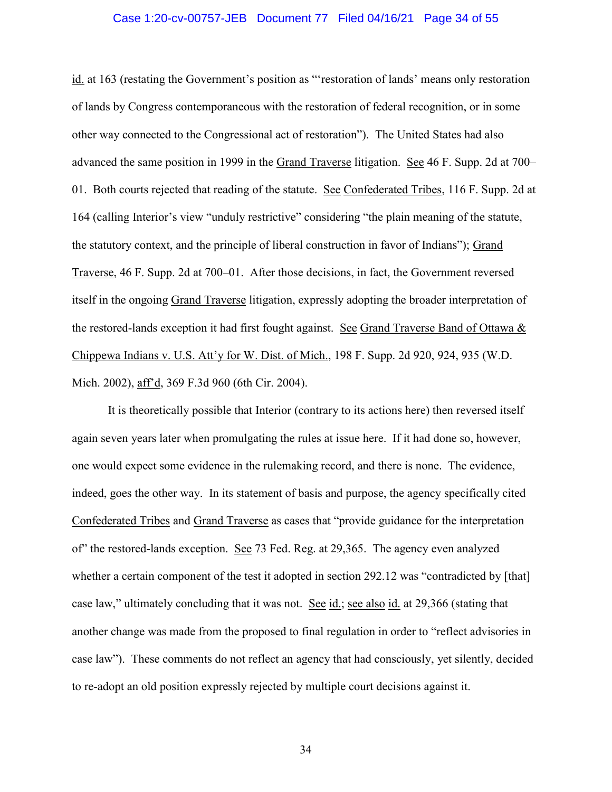### Case 1:20-cv-00757-JEB Document 77 Filed 04/16/21 Page 34 of 55

id. at 163 (restating the Government's position as "'restoration of lands' means only restoration of lands by Congress contemporaneous with the restoration of federal recognition, or in some other way connected to the Congressional act of restoration"). The United States had also advanced the same position in 1999 in the Grand Traverse litigation. See 46 F. Supp. 2d at 700– 01. Both courts rejected that reading of the statute. See Confederated Tribes, 116 F. Supp. 2d at 164 (calling Interior's view "unduly restrictive" considering "the plain meaning of the statute, the statutory context, and the principle of liberal construction in favor of Indians"); Grand Traverse, 46 F. Supp. 2d at 700–01. After those decisions, in fact, the Government reversed itself in the ongoing Grand Traverse litigation, expressly adopting the broader interpretation of the restored-lands exception it had first fought against. See Grand Traverse Band of Ottawa & Chippewa Indians v. U.S. Att'y for W. Dist. of Mich., 198 F. Supp. 2d 920, 924, 935 (W.D. Mich. 2002), aff'd, 369 F.3d 960 (6th Cir. 2004).

It is theoretically possible that Interior (contrary to its actions here) then reversed itself again seven years later when promulgating the rules at issue here. If it had done so, however, one would expect some evidence in the rulemaking record, and there is none. The evidence, indeed, goes the other way. In its statement of basis and purpose, the agency specifically cited Confederated Tribes and Grand Traverse as cases that "provide guidance for the interpretation of" the restored-lands exception. See 73 Fed. Reg. at 29,365. The agency even analyzed whether a certain component of the test it adopted in section 292.12 was "contradicted by [that] case law," ultimately concluding that it was not. See id.; see also id. at 29,366 (stating that another change was made from the proposed to final regulation in order to "reflect advisories in case law"). These comments do not reflect an agency that had consciously, yet silently, decided to re-adopt an old position expressly rejected by multiple court decisions against it.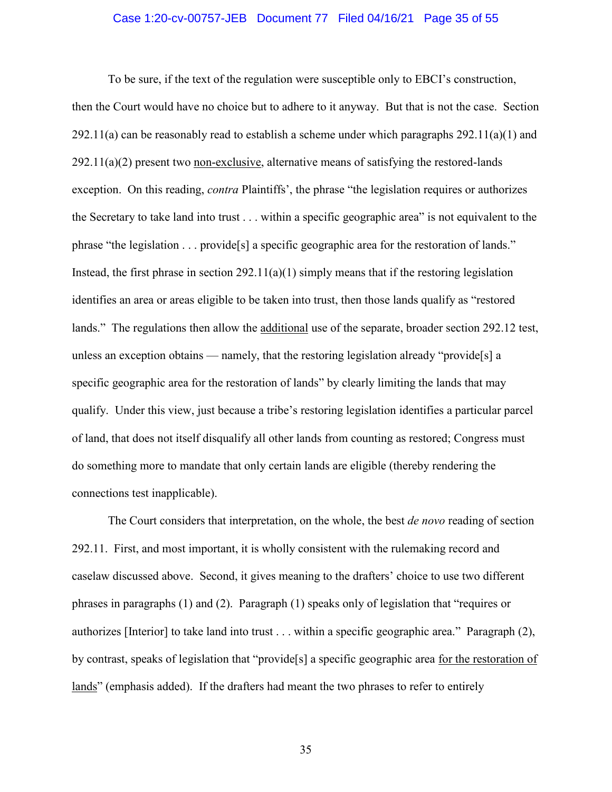### Case 1:20-cv-00757-JEB Document 77 Filed 04/16/21 Page 35 of 55

To be sure, if the text of the regulation were susceptible only to EBCI's construction, then the Court would have no choice but to adhere to it anyway. But that is not the case. Section  $292.11(a)$  can be reasonably read to establish a scheme under which paragraphs  $292.11(a)(1)$  and 292.11(a)(2) present two non-exclusive, alternative means of satisfying the restored-lands exception. On this reading, *contra* Plaintiffs', the phrase "the legislation requires or authorizes the Secretary to take land into trust . . . within a specific geographic area" is not equivalent to the phrase "the legislation . . . provide[s] a specific geographic area for the restoration of lands." Instead, the first phrase in section  $292.11(a)(1)$  simply means that if the restoring legislation identifies an area or areas eligible to be taken into trust, then those lands qualify as "restored lands." The regulations then allow the additional use of the separate, broader section 292.12 test, unless an exception obtains — namely, that the restoring legislation already "provide[s] a specific geographic area for the restoration of lands" by clearly limiting the lands that may qualify. Under this view, just because a tribe's restoring legislation identifies a particular parcel of land, that does not itself disqualify all other lands from counting as restored; Congress must do something more to mandate that only certain lands are eligible (thereby rendering the connections test inapplicable).

The Court considers that interpretation, on the whole, the best *de novo* reading of section 292.11. First, and most important, it is wholly consistent with the rulemaking record and caselaw discussed above. Second, it gives meaning to the drafters' choice to use two different phrases in paragraphs (1) and (2). Paragraph (1) speaks only of legislation that "requires or authorizes [Interior] to take land into trust . . . within a specific geographic area." Paragraph (2), by contrast, speaks of legislation that "provide[s] a specific geographic area for the restoration of lands" (emphasis added). If the drafters had meant the two phrases to refer to entirely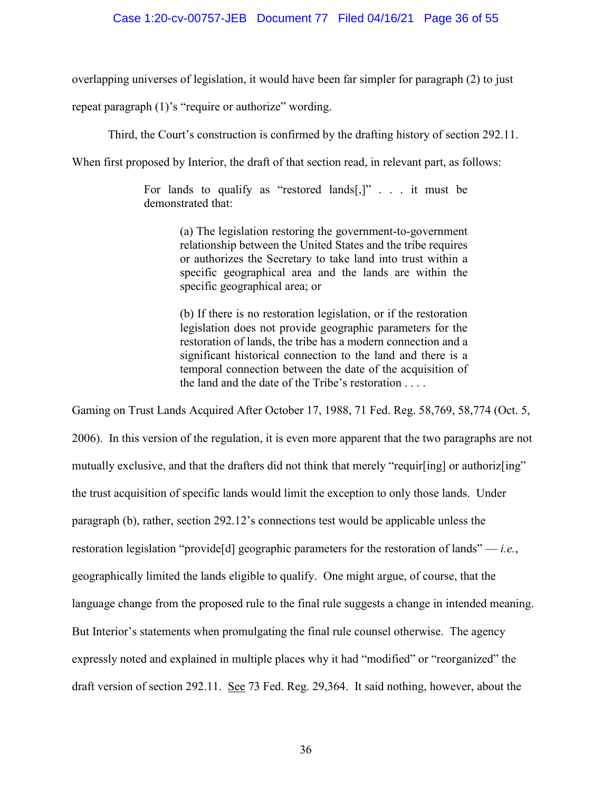overlapping universes of legislation, it would have been far simpler for paragraph (2) to just

repeat paragraph (1)'s "require or authorize" wording.

Third, the Court's construction is confirmed by the drafting history of section 292.11.

When first proposed by Interior, the draft of that section read, in relevant part, as follows:

For lands to qualify as "restored lands[,]" . . . it must be demonstrated that:

> (a) The legislation restoring the government-to-government relationship between the United States and the tribe requires or authorizes the Secretary to take land into trust within a specific geographical area and the lands are within the specific geographical area; or

> (b) If there is no restoration legislation, or if the restoration legislation does not provide geographic parameters for the restoration of lands, the tribe has a modern connection and a significant historical connection to the land and there is a temporal connection between the date of the acquisition of the land and the date of the Tribe's restoration . . . .

Gaming on Trust Lands Acquired After October 17, 1988, 71 Fed. Reg. 58,769, 58,774 (Oct. 5, 2006). In this version of the regulation, it is even more apparent that the two paragraphs are not mutually exclusive, and that the drafters did not think that merely "requir[ing] or authoriz[ing" the trust acquisition of specific lands would limit the exception to only those lands. Under paragraph (b), rather, section 292.12's connections test would be applicable unless the restoration legislation "provide[d] geographic parameters for the restoration of lands" — *i.e.*, geographically limited the lands eligible to qualify. One might argue, of course, that the language change from the proposed rule to the final rule suggests a change in intended meaning. But Interior's statements when promulgating the final rule counsel otherwise. The agency expressly noted and explained in multiple places why it had "modified" or "reorganized" the draft version of section 292.11. See 73 Fed. Reg. 29,364. It said nothing, however, about the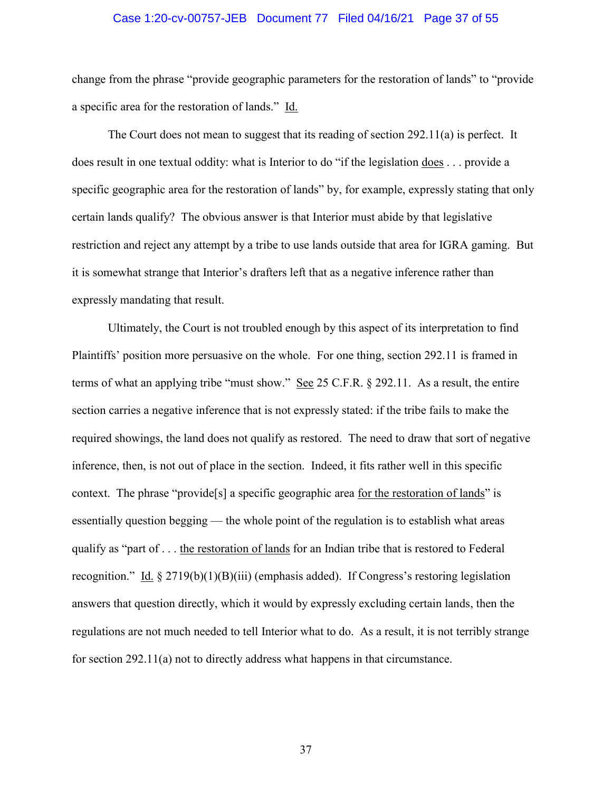### Case 1:20-cv-00757-JEB Document 77 Filed 04/16/21 Page 37 of 55

change from the phrase "provide geographic parameters for the restoration of lands" to "provide a specific area for the restoration of lands." Id.

The Court does not mean to suggest that its reading of section 292.11(a) is perfect. It does result in one textual oddity: what is Interior to do "if the legislation does . . . provide a specific geographic area for the restoration of lands" by, for example, expressly stating that only certain lands qualify? The obvious answer is that Interior must abide by that legislative restriction and reject any attempt by a tribe to use lands outside that area for IGRA gaming. But it is somewhat strange that Interior's drafters left that as a negative inference rather than expressly mandating that result.

Ultimately, the Court is not troubled enough by this aspect of its interpretation to find Plaintiffs' position more persuasive on the whole. For one thing, section 292.11 is framed in terms of what an applying tribe "must show." See 25 C.F.R. § 292.11. As a result, the entire section carries a negative inference that is not expressly stated: if the tribe fails to make the required showings, the land does not qualify as restored. The need to draw that sort of negative inference, then, is not out of place in the section. Indeed, it fits rather well in this specific context. The phrase "provide[s] a specific geographic area for the restoration of lands" is essentially question begging — the whole point of the regulation is to establish what areas qualify as "part of . . . the restoration of lands for an Indian tribe that is restored to Federal recognition." Id. § 2719(b)(1)(B)(iii) (emphasis added). If Congress's restoring legislation answers that question directly, which it would by expressly excluding certain lands, then the regulations are not much needed to tell Interior what to do. As a result, it is not terribly strange for section 292.11(a) not to directly address what happens in that circumstance.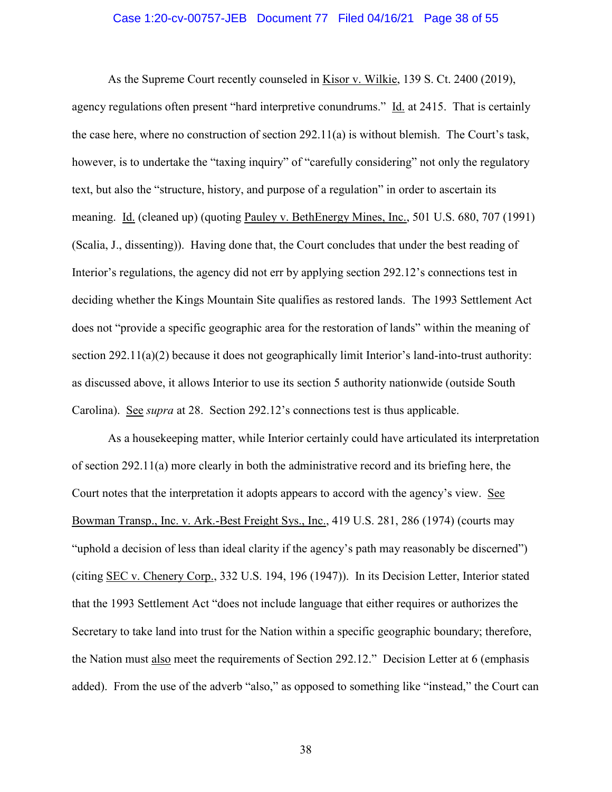### Case 1:20-cv-00757-JEB Document 77 Filed 04/16/21 Page 38 of 55

As the Supreme Court recently counseled in Kisor v. Wilkie, 139 S. Ct. 2400 (2019), agency regulations often present "hard interpretive conundrums." Id. at 2415. That is certainly the case here, where no construction of section 292.11(a) is without blemish. The Court's task, however, is to undertake the "taxing inquiry" of "carefully considering" not only the regulatory text, but also the "structure, history, and purpose of a regulation" in order to ascertain its meaning. Id. (cleaned up) (quoting Pauley v. BethEnergy Mines, Inc., 501 U.S. 680, 707 (1991) (Scalia, J., dissenting)). Having done that, the Court concludes that under the best reading of Interior's regulations, the agency did not err by applying section 292.12's connections test in deciding whether the Kings Mountain Site qualifies as restored lands. The 1993 Settlement Act does not "provide a specific geographic area for the restoration of lands" within the meaning of section 292.11(a)(2) because it does not geographically limit Interior's land-into-trust authority: as discussed above, it allows Interior to use its section 5 authority nationwide (outside South Carolina). See *supra* at 28. Section 292.12's connections test is thus applicable.

As a housekeeping matter, while Interior certainly could have articulated its interpretation of section 292.11(a) more clearly in both the administrative record and its briefing here, the Court notes that the interpretation it adopts appears to accord with the agency's view. See Bowman Transp., Inc. v. Ark.-Best Freight Sys., Inc., 419 U.S. 281, 286 (1974) (courts may "uphold a decision of less than ideal clarity if the agency's path may reasonably be discerned") (citing SEC v. Chenery Corp., 332 U.S. 194, 196 (1947)). In its Decision Letter, Interior stated that the 1993 Settlement Act "does not include language that either requires or authorizes the Secretary to take land into trust for the Nation within a specific geographic boundary; therefore, the Nation must also meet the requirements of Section 292.12." Decision Letter at 6 (emphasis added). From the use of the adverb "also," as opposed to something like "instead," the Court can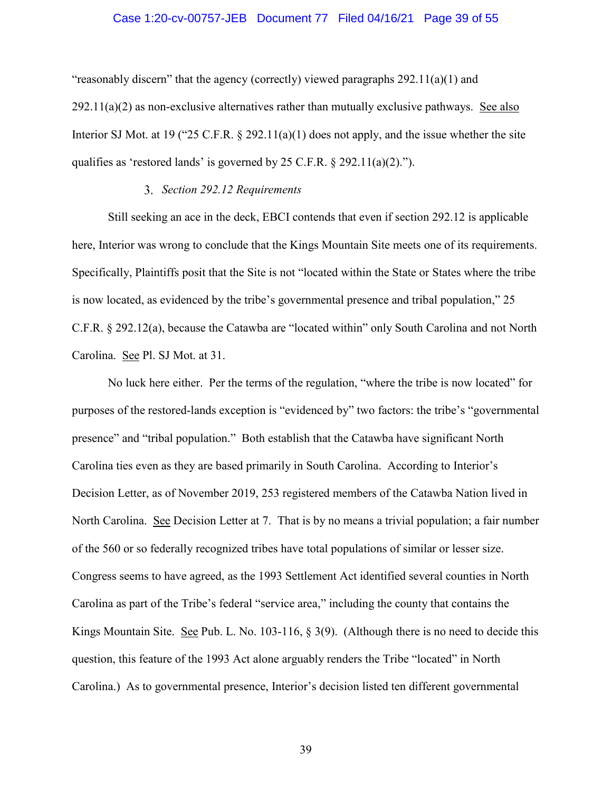### Case 1:20-cv-00757-JEB Document 77 Filed 04/16/21 Page 39 of 55

"reasonably discern" that the agency (correctly) viewed paragraphs 292.11(a)(1) and  $292.11(a)(2)$  as non-exclusive alternatives rather than mutually exclusive pathways. See also Interior SJ Mot. at 19 ("25 C.F.R. § 292.11(a)(1) does not apply, and the issue whether the site qualifies as 'restored lands' is governed by 25 C.F.R. § 292.11(a)(2).").

### *Section 292.12 Requirements*

Still seeking an ace in the deck, EBCI contends that even if section 292.12 is applicable here, Interior was wrong to conclude that the Kings Mountain Site meets one of its requirements. Specifically, Plaintiffs posit that the Site is not "located within the State or States where the tribe is now located, as evidenced by the tribe's governmental presence and tribal population," 25 C.F.R. § 292.12(a), because the Catawba are "located within" only South Carolina and not North Carolina. See Pl. SJ Mot. at 31.

No luck here either. Per the terms of the regulation, "where the tribe is now located" for purposes of the restored-lands exception is "evidenced by" two factors: the tribe's "governmental presence" and "tribal population." Both establish that the Catawba have significant North Carolina ties even as they are based primarily in South Carolina. According to Interior's Decision Letter, as of November 2019, 253 registered members of the Catawba Nation lived in North Carolina. See Decision Letter at 7. That is by no means a trivial population; a fair number of the 560 or so federally recognized tribes have total populations of similar or lesser size. Congress seems to have agreed, as the 1993 Settlement Act identified several counties in North Carolina as part of the Tribe's federal "service area," including the county that contains the Kings Mountain Site. <u>See</u> Pub. L. No. 103-116, § 3(9). (Although there is no need to decide this question, this feature of the 1993 Act alone arguably renders the Tribe "located" in North Carolina.) As to governmental presence, Interior's decision listed ten different governmental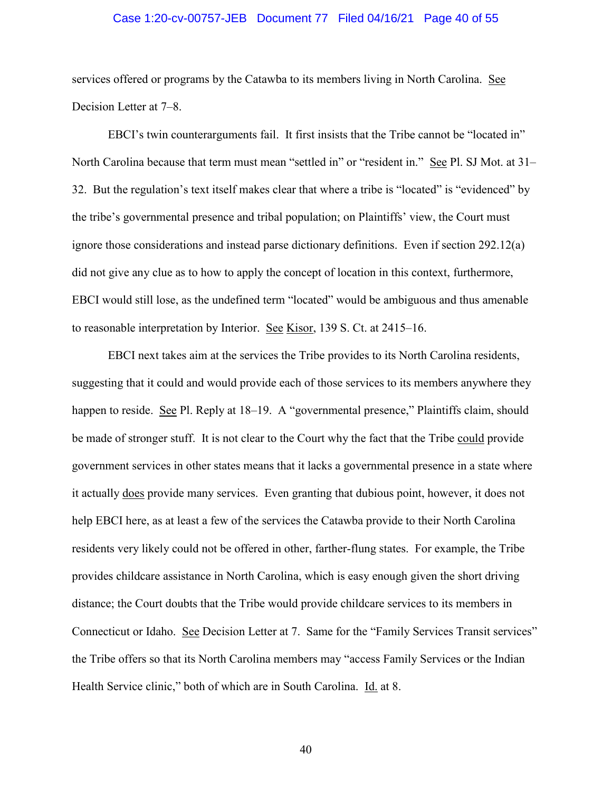### Case 1:20-cv-00757-JEB Document 77 Filed 04/16/21 Page 40 of 55

services offered or programs by the Catawba to its members living in North Carolina. See Decision Letter at 7–8.

EBCI's twin counterarguments fail. It first insists that the Tribe cannot be "located in" North Carolina because that term must mean "settled in" or "resident in." See Pl. SJ Mot. at 31– 32. But the regulation's text itself makes clear that where a tribe is "located" is "evidenced" by the tribe's governmental presence and tribal population; on Plaintiffs' view, the Court must ignore those considerations and instead parse dictionary definitions. Even if section 292.12(a) did not give any clue as to how to apply the concept of location in this context, furthermore, EBCI would still lose, as the undefined term "located" would be ambiguous and thus amenable to reasonable interpretation by Interior. See Kisor, 139 S. Ct. at 2415–16.

EBCI next takes aim at the services the Tribe provides to its North Carolina residents, suggesting that it could and would provide each of those services to its members anywhere they happen to reside. See Pl. Reply at 18–19. A "governmental presence," Plaintiffs claim, should be made of stronger stuff. It is not clear to the Court why the fact that the Tribe could provide government services in other states means that it lacks a governmental presence in a state where it actually does provide many services. Even granting that dubious point, however, it does not help EBCI here, as at least a few of the services the Catawba provide to their North Carolina residents very likely could not be offered in other, farther-flung states. For example, the Tribe provides childcare assistance in North Carolina, which is easy enough given the short driving distance; the Court doubts that the Tribe would provide childcare services to its members in Connecticut or Idaho. See Decision Letter at 7. Same for the "Family Services Transit services" the Tribe offers so that its North Carolina members may "access Family Services or the Indian Health Service clinic," both of which are in South Carolina. Id. at 8.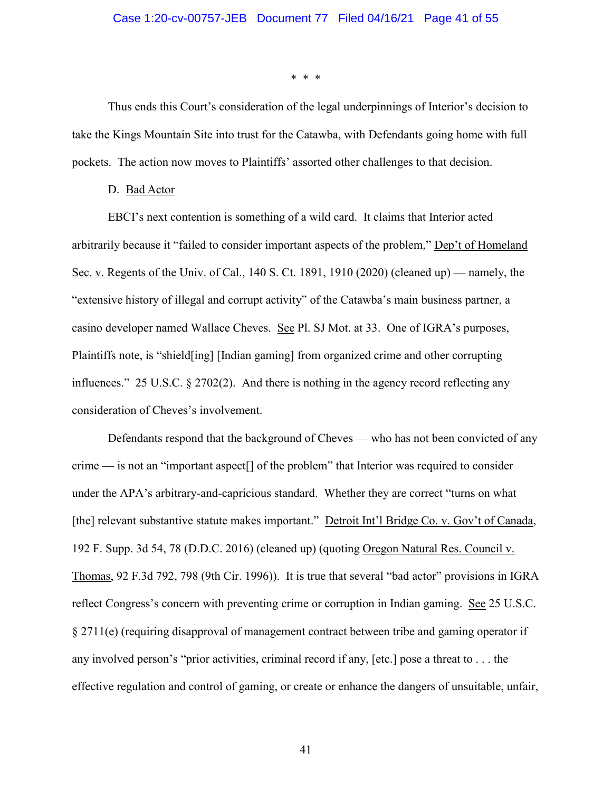\* \* \*

Thus ends this Court's consideration of the legal underpinnings of Interior's decision to take the Kings Mountain Site into trust for the Catawba, with Defendants going home with full pockets. The action now moves to Plaintiffs' assorted other challenges to that decision.

#### D. Bad Actor

EBCI's next contention is something of a wild card. It claims that Interior acted arbitrarily because it "failed to consider important aspects of the problem," Dep't of Homeland Sec. v. Regents of the Univ. of Cal., 140 S. Ct. 1891, 1910 (2020) (cleaned up) — namely, the "extensive history of illegal and corrupt activity" of the Catawba's main business partner, a casino developer named Wallace Cheves. See Pl. SJ Mot. at 33. One of IGRA's purposes, Plaintiffs note, is "shield[ing] [Indian gaming] from organized crime and other corrupting influences." 25 U.S.C. § 2702(2). And there is nothing in the agency record reflecting any consideration of Cheves's involvement.

Defendants respond that the background of Cheves — who has not been convicted of any crime — is not an "important aspect[] of the problem" that Interior was required to consider under the APA's arbitrary-and-capricious standard. Whether they are correct "turns on what [the] relevant substantive statute makes important." Detroit Int'l Bridge Co. v. Gov't of Canada, 192 F. Supp. 3d 54, 78 (D.D.C. 2016) (cleaned up) (quoting Oregon Natural Res. Council v. Thomas, 92 F.3d 792, 798 (9th Cir. 1996)). It is true that several "bad actor" provisions in IGRA reflect Congress's concern with preventing crime or corruption in Indian gaming. See 25 U.S.C. § 2711(e) (requiring disapproval of management contract between tribe and gaming operator if any involved person's "prior activities, criminal record if any, [etc.] pose a threat to . . . the effective regulation and control of gaming, or create or enhance the dangers of unsuitable, unfair,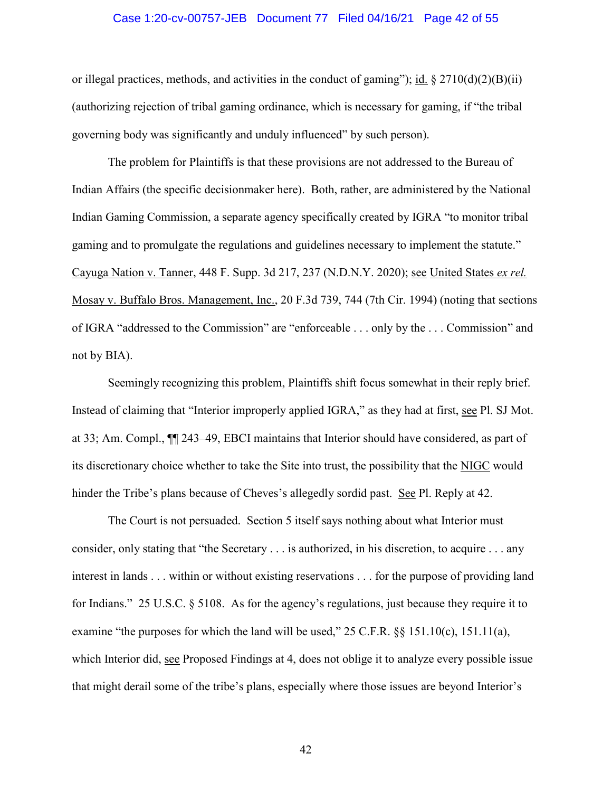### Case 1:20-cv-00757-JEB Document 77 Filed 04/16/21 Page 42 of 55

or illegal practices, methods, and activities in the conduct of gaming"); id.  $\S 2710(d)(2)(B)(ii)$ (authorizing rejection of tribal gaming ordinance, which is necessary for gaming, if "the tribal governing body was significantly and unduly influenced" by such person).

The problem for Plaintiffs is that these provisions are not addressed to the Bureau of Indian Affairs (the specific decisionmaker here). Both, rather, are administered by the National Indian Gaming Commission, a separate agency specifically created by IGRA "to monitor tribal gaming and to promulgate the regulations and guidelines necessary to implement the statute." Cayuga Nation v. Tanner, 448 F. Supp. 3d 217, 237 (N.D.N.Y. 2020); see United States *ex rel.* Mosay v. Buffalo Bros. Management, Inc., 20 F.3d 739, 744 (7th Cir. 1994) (noting that sections of IGRA "addressed to the Commission" are "enforceable . . . only by the . . . Commission" and not by BIA).

Seemingly recognizing this problem, Plaintiffs shift focus somewhat in their reply brief. Instead of claiming that "Interior improperly applied IGRA," as they had at first, see Pl. SJ Mot. at 33; Am. Compl., ¶¶ 243–49, EBCI maintains that Interior should have considered, as part of its discretionary choice whether to take the Site into trust, the possibility that the NIGC would hinder the Tribe's plans because of Cheves's allegedly sordid past. See Pl. Reply at 42.

The Court is not persuaded. Section 5 itself says nothing about what Interior must consider, only stating that "the Secretary . . . is authorized, in his discretion, to acquire . . . any interest in lands . . . within or without existing reservations . . . for the purpose of providing land for Indians." 25 U.S.C. § 5108. As for the agency's regulations, just because they require it to examine "the purposes for which the land will be used," 25 C.F.R. §§ 151.10(c), 151.11(a), which Interior did, see Proposed Findings at 4, does not oblige it to analyze every possible issue that might derail some of the tribe's plans, especially where those issues are beyond Interior's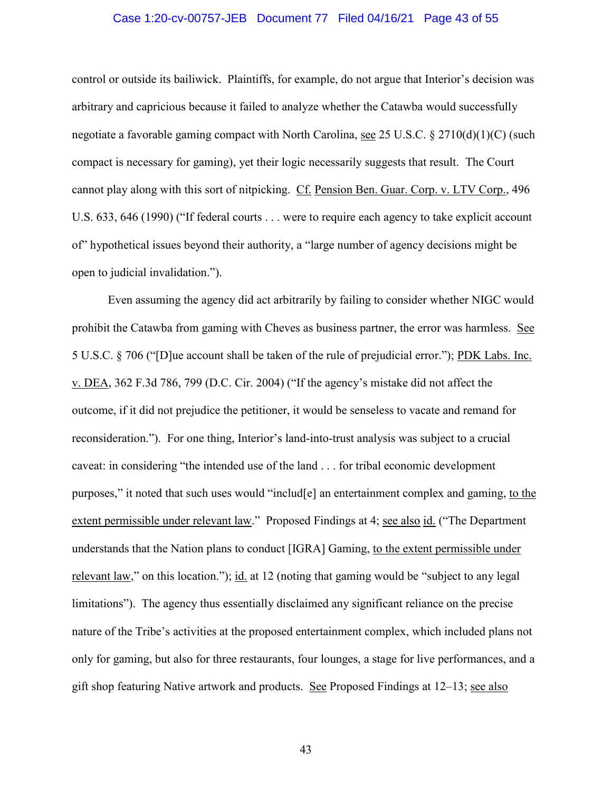### Case 1:20-cv-00757-JEB Document 77 Filed 04/16/21 Page 43 of 55

control or outside its bailiwick. Plaintiffs, for example, do not argue that Interior's decision was arbitrary and capricious because it failed to analyze whether the Catawba would successfully negotiate a favorable gaming compact with North Carolina, see 25 U.S.C. § 2710(d)(1)(C) (such compact is necessary for gaming), yet their logic necessarily suggests that result. The Court cannot play along with this sort of nitpicking. Cf. Pension Ben. Guar. Corp. v. LTV Corp., 496 U.S. 633, 646 (1990) ("If federal courts . . . were to require each agency to take explicit account of" hypothetical issues beyond their authority, a "large number of agency decisions might be open to judicial invalidation.").

Even assuming the agency did act arbitrarily by failing to consider whether NIGC would prohibit the Catawba from gaming with Cheves as business partner, the error was harmless. See 5 U.S.C. § 706 ("[D]ue account shall be taken of the rule of prejudicial error."); PDK Labs. Inc. v. DEA, 362 F.3d 786, 799 (D.C. Cir. 2004) ("If the agency's mistake did not affect the outcome, if it did not prejudice the petitioner, it would be senseless to vacate and remand for reconsideration."). For one thing, Interior's land-into-trust analysis was subject to a crucial caveat: in considering "the intended use of the land . . . for tribal economic development purposes," it noted that such uses would "includ[e] an entertainment complex and gaming, to the extent permissible under relevant law." Proposed Findings at 4; see also id. ("The Department understands that the Nation plans to conduct [IGRA] Gaming, to the extent permissible under relevant law," on this location."); id. at 12 (noting that gaming would be "subject to any legal limitations"). The agency thus essentially disclaimed any significant reliance on the precise nature of the Tribe's activities at the proposed entertainment complex, which included plans not only for gaming, but also for three restaurants, four lounges, a stage for live performances, and a gift shop featuring Native artwork and products. See Proposed Findings at 12–13; see also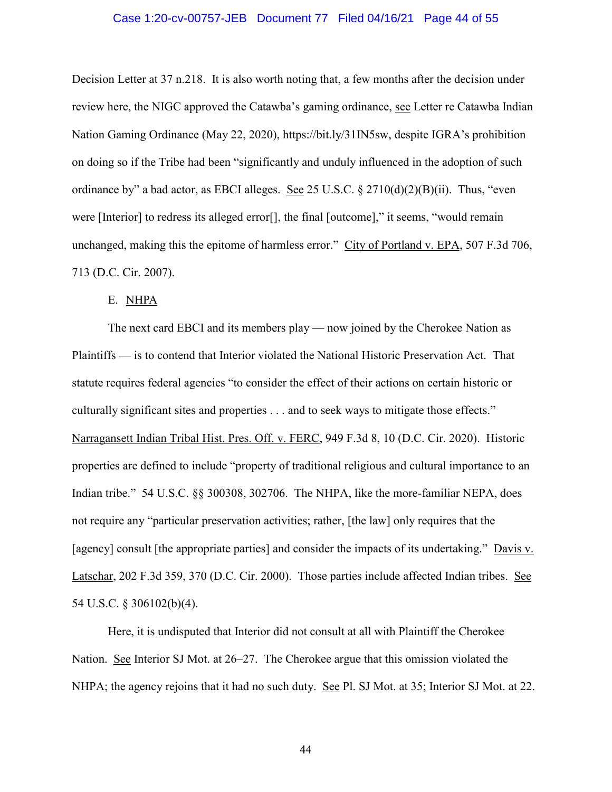### Case 1:20-cv-00757-JEB Document 77 Filed 04/16/21 Page 44 of 55

Decision Letter at 37 n.218. It is also worth noting that, a few months after the decision under review here, the NIGC approved the Catawba's gaming ordinance, see Letter re Catawba Indian Nation Gaming Ordinance (May 22, 2020), https://bit.ly/31IN5sw, despite IGRA's prohibition on doing so if the Tribe had been "significantly and unduly influenced in the adoption of such ordinance by" a bad actor, as EBCI alleges. See 25 U.S.C.  $\S 2710(d)(2)(B)(ii)$ . Thus, "even were [Interior] to redress its alleged error[], the final [outcome]," it seems, "would remain unchanged, making this the epitome of harmless error." City of Portland v. EPA, 507 F.3d 706, 713 (D.C. Cir. 2007).

## E. NHPA

The next card EBCI and its members play — now joined by the Cherokee Nation as Plaintiffs — is to contend that Interior violated the National Historic Preservation Act. That statute requires federal agencies "to consider the effect of their actions on certain historic or culturally significant sites and properties . . . and to seek ways to mitigate those effects." Narragansett Indian Tribal Hist. Pres. Off. v. FERC, 949 F.3d 8, 10 (D.C. Cir. 2020). Historic properties are defined to include "property of traditional religious and cultural importance to an Indian tribe." 54 U.S.C. §§ 300308, 302706. The NHPA, like the more-familiar NEPA, does not require any "particular preservation activities; rather, [the law] only requires that the [agency] consult [the appropriate parties] and consider the impacts of its undertaking." Davis v. Latschar, 202 F.3d 359, 370 (D.C. Cir. 2000). Those parties include affected Indian tribes. See 54 U.S.C. § 306102(b)(4).

Here, it is undisputed that Interior did not consult at all with Plaintiff the Cherokee Nation. See Interior SJ Mot. at 26–27. The Cherokee argue that this omission violated the NHPA; the agency rejoins that it had no such duty. See Pl. SJ Mot. at 35; Interior SJ Mot. at 22.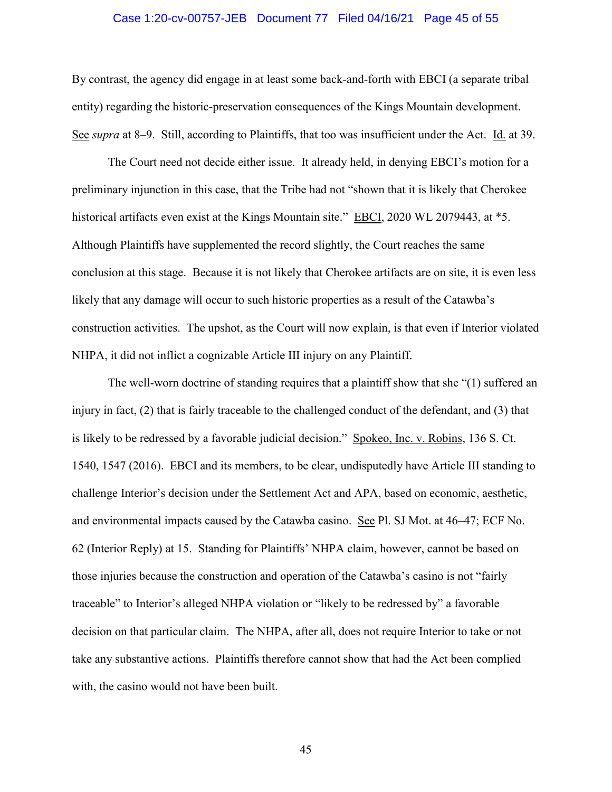### Case 1:20-cv-00757-JEB Document 77 Filed 04/16/21 Page 45 of 55

By contrast, the agency did engage in at least some back-and-forth with EBCI (a separate tribal entity) regarding the historic-preservation consequences of the Kings Mountain development. See *supra* at 8–9. Still, according to Plaintiffs, that too was insufficient under the Act. Id. at 39.

The Court need not decide either issue. It already held, in denying EBCI's motion for a preliminary injunction in this case, that the Tribe had not "shown that it is likely that Cherokee historical artifacts even exist at the Kings Mountain site." <u>EBCI</u>, 2020 WL 2079443, at \*5. Although Plaintiffs have supplemented the record slightly, the Court reaches the same conclusion at this stage. Because it is not likely that Cherokee artifacts are on site, it is even less likely that any damage will occur to such historic properties as a result of the Catawba's construction activities. The upshot, as the Court will now explain, is that even if Interior violated NHPA, it did not inflict a cognizable Article III injury on any Plaintiff.

The well-worn doctrine of standing requires that a plaintiff show that she "(1) suffered an injury in fact, (2) that is fairly traceable to the challenged conduct of the defendant, and (3) that is likely to be redressed by a favorable judicial decision." Spokeo, Inc. v. Robins, 136 S. Ct. 1540, 1547 (2016). EBCI and its members, to be clear, undisputedly have Article III standing to challenge Interior's decision under the Settlement Act and APA, based on economic, aesthetic, and environmental impacts caused by the Catawba casino. See Pl. SJ Mot. at 46–47; ECF No. 62 (Interior Reply) at 15. Standing for Plaintiffs' NHPA claim, however, cannot be based on those injuries because the construction and operation of the Catawba's casino is not "fairly traceable" to Interior's alleged NHPA violation or "likely to be redressed by" a favorable decision on that particular claim. The NHPA, after all, does not require Interior to take or not take any substantive actions. Plaintiffs therefore cannot show that had the Act been complied with, the casino would not have been built.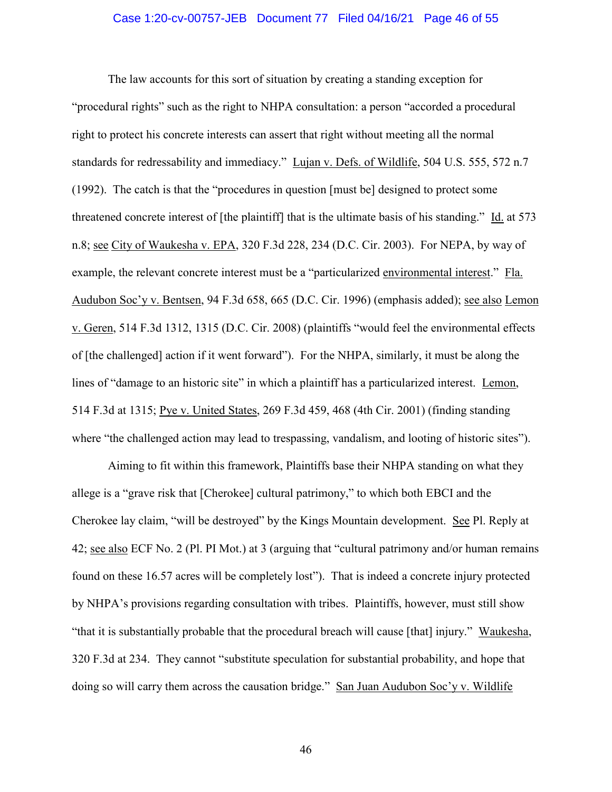### Case 1:20-cv-00757-JEB Document 77 Filed 04/16/21 Page 46 of 55

The law accounts for this sort of situation by creating a standing exception for "procedural rights" such as the right to NHPA consultation: a person "accorded a procedural right to protect his concrete interests can assert that right without meeting all the normal standards for redressability and immediacy." Lujan v. Defs. of Wildlife, 504 U.S. 555, 572 n.7 (1992). The catch is that the "procedures in question [must be] designed to protect some threatened concrete interest of [the plaintiff] that is the ultimate basis of his standing." Id. at 573 n.8; see City of Waukesha v. EPA, 320 F.3d 228, 234 (D.C. Cir. 2003). For NEPA, by way of example, the relevant concrete interest must be a "particularized environmental interest." Fla. Audubon Soc'y v. Bentsen, 94 F.3d 658, 665 (D.C. Cir. 1996) (emphasis added); see also Lemon v. Geren, 514 F.3d 1312, 1315 (D.C. Cir. 2008) (plaintiffs "would feel the environmental effects of [the challenged] action if it went forward"). For the NHPA, similarly, it must be along the lines of "damage to an historic site" in which a plaintiff has a particularized interest. Lemon, 514 F.3d at 1315; Pye v. United States, 269 F.3d 459, 468 (4th Cir. 2001) (finding standing where "the challenged action may lead to trespassing, vandalism, and looting of historic sites").

Aiming to fit within this framework, Plaintiffs base their NHPA standing on what they allege is a "grave risk that [Cherokee] cultural patrimony," to which both EBCI and the Cherokee lay claim, "will be destroyed" by the Kings Mountain development. See Pl. Reply at 42; see also ECF No. 2 (Pl. PI Mot.) at 3 (arguing that "cultural patrimony and/or human remains found on these 16.57 acres will be completely lost"). That is indeed a concrete injury protected by NHPA's provisions regarding consultation with tribes. Plaintiffs, however, must still show "that it is substantially probable that the procedural breach will cause [that] injury." Waukesha, 320 F.3d at 234. They cannot "substitute speculation for substantial probability, and hope that doing so will carry them across the causation bridge." San Juan Audubon Soc'y v. Wildlife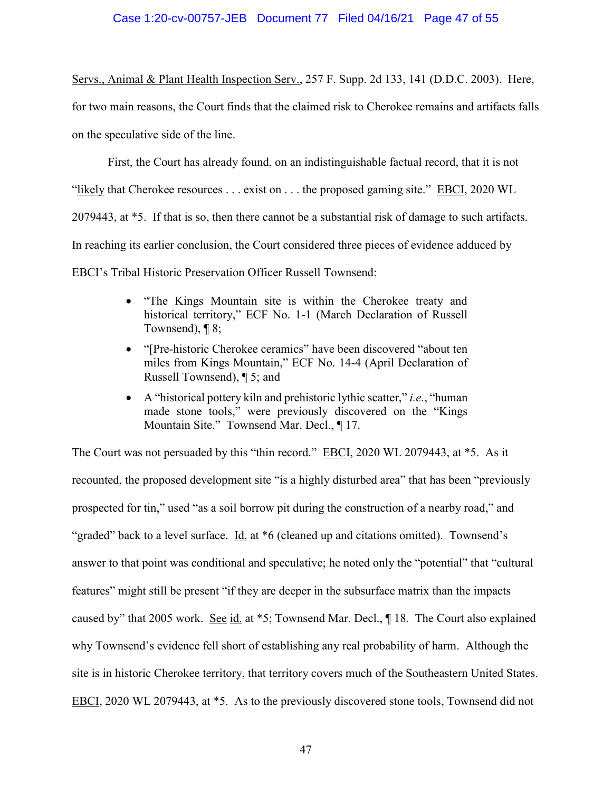## Case 1:20-cv-00757-JEB Document 77 Filed 04/16/21 Page 47 of 55

Servs., Animal & Plant Health Inspection Serv., 257 F. Supp. 2d 133, 141 (D.D.C. 2003). Here, for two main reasons, the Court finds that the claimed risk to Cherokee remains and artifacts falls on the speculative side of the line.

First, the Court has already found, on an indistinguishable factual record, that it is not "likely that Cherokee resources . . . exist on . . . the proposed gaming site." EBCI, 2020 WL 2079443, at \*5. If that is so, then there cannot be a substantial risk of damage to such artifacts. In reaching its earlier conclusion, the Court considered three pieces of evidence adduced by EBCI's Tribal Historic Preservation Officer Russell Townsend:

- "The Kings Mountain site is within the Cherokee treaty and historical territory," ECF No. 1-1 (March Declaration of Russell Townsend),  $\P$ 8;
- "[Pre-historic Cherokee ceramics" have been discovered "about ten miles from Kings Mountain," ECF No. 14-4 (April Declaration of Russell Townsend), ¶ 5; and
- A "historical pottery kiln and prehistoric lythic scatter," *i.e.*, "human made stone tools," were previously discovered on the "Kings Mountain Site." Townsend Mar. Decl., ¶ 17.

The Court was not persuaded by this "thin record." EBCI, 2020 WL 2079443, at \*5. As it recounted, the proposed development site "is a highly disturbed area" that has been "previously prospected for tin," used "as a soil borrow pit during the construction of a nearby road," and "graded" back to a level surface. Id. at \*6 (cleaned up and citations omitted). Townsend's answer to that point was conditional and speculative; he noted only the "potential" that "cultural features" might still be present "if they are deeper in the subsurface matrix than the impacts caused by" that 2005 work. See id. at \*5; Townsend Mar. Decl., ¶ 18. The Court also explained why Townsend's evidence fell short of establishing any real probability of harm. Although the site is in historic Cherokee territory, that territory covers much of the Southeastern United States. EBCI, 2020 WL 2079443, at \*5. As to the previously discovered stone tools, Townsend did not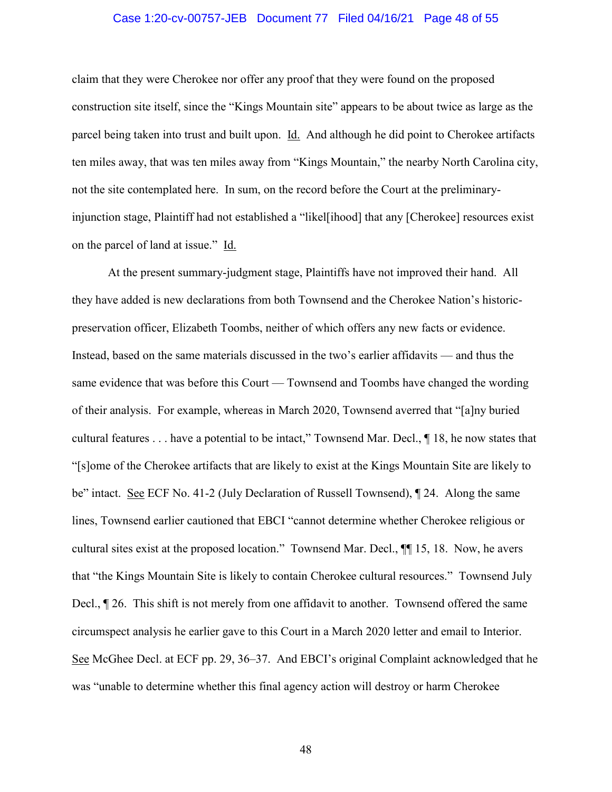### Case 1:20-cv-00757-JEB Document 77 Filed 04/16/21 Page 48 of 55

claim that they were Cherokee nor offer any proof that they were found on the proposed construction site itself, since the "Kings Mountain site" appears to be about twice as large as the parcel being taken into trust and built upon. Id. And although he did point to Cherokee artifacts ten miles away, that was ten miles away from "Kings Mountain," the nearby North Carolina city, not the site contemplated here. In sum, on the record before the Court at the preliminaryinjunction stage, Plaintiff had not established a "likel[ihood] that any [Cherokee] resources exist on the parcel of land at issue." Id.

At the present summary-judgment stage, Plaintiffs have not improved their hand. All they have added is new declarations from both Townsend and the Cherokee Nation's historicpreservation officer, Elizabeth Toombs, neither of which offers any new facts or evidence. Instead, based on the same materials discussed in the two's earlier affidavits — and thus the same evidence that was before this Court — Townsend and Toombs have changed the wording of their analysis. For example, whereas in March 2020, Townsend averred that "[a]ny buried cultural features . . . have a potential to be intact," Townsend Mar. Decl., ¶ 18, he now states that "[s]ome of the Cherokee artifacts that are likely to exist at the Kings Mountain Site are likely to be" intact. See ECF No. 41-2 (July Declaration of Russell Townsend), ¶ 24. Along the same lines, Townsend earlier cautioned that EBCI "cannot determine whether Cherokee religious or cultural sites exist at the proposed location." Townsend Mar. Decl., ¶¶ 15, 18. Now, he avers that "the Kings Mountain Site is likely to contain Cherokee cultural resources." Townsend July Decl., ¶ 26. This shift is not merely from one affidavit to another. Townsend offered the same circumspect analysis he earlier gave to this Court in a March 2020 letter and email to Interior. See McGhee Decl. at ECF pp. 29, 36–37. And EBCI's original Complaint acknowledged that he was "unable to determine whether this final agency action will destroy or harm Cherokee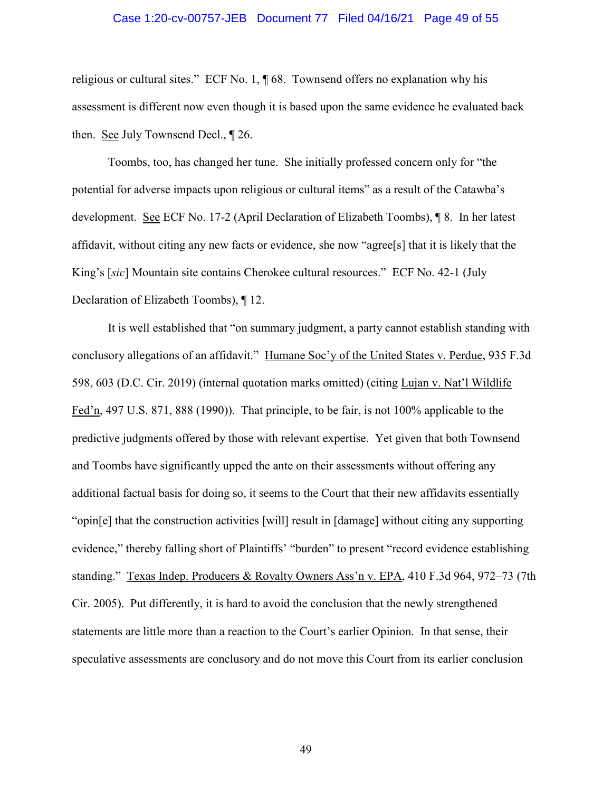### Case 1:20-cv-00757-JEB Document 77 Filed 04/16/21 Page 49 of 55

religious or cultural sites." ECF No. 1, ¶ 68. Townsend offers no explanation why his assessment is different now even though it is based upon the same evidence he evaluated back then. See July Townsend Decl., ¶ 26.

Toombs, too, has changed her tune. She initially professed concern only for "the potential for adverse impacts upon religious or cultural items" as a result of the Catawba's development. See ECF No. 17-2 (April Declaration of Elizabeth Toombs), ¶ 8. In her latest affidavit, without citing any new facts or evidence, she now "agree[s] that it is likely that the King's [*sic*] Mountain site contains Cherokee cultural resources." ECF No. 42-1 (July Declaration of Elizabeth Toombs), ¶ 12.

It is well established that "on summary judgment, a party cannot establish standing with conclusory allegations of an affidavit." Humane Soc'y of the United States v. Perdue, 935 F.3d 598, 603 (D.C. Cir. 2019) (internal quotation marks omitted) (citing Lujan v. Nat'l Wildlife Fed'n, 497 U.S. 871, 888 (1990)). That principle, to be fair, is not 100% applicable to the predictive judgments offered by those with relevant expertise. Yet given that both Townsend and Toombs have significantly upped the ante on their assessments without offering any additional factual basis for doing so, it seems to the Court that their new affidavits essentially "opin[e] that the construction activities [will] result in [damage] without citing any supporting evidence," thereby falling short of Plaintiffs' "burden" to present "record evidence establishing standing." Texas Indep. Producers & Royalty Owners Ass'n v. EPA, 410 F.3d 964, 972–73 (7th Cir. 2005). Put differently, it is hard to avoid the conclusion that the newly strengthened statements are little more than a reaction to the Court's earlier Opinion. In that sense, their speculative assessments are conclusory and do not move this Court from its earlier conclusion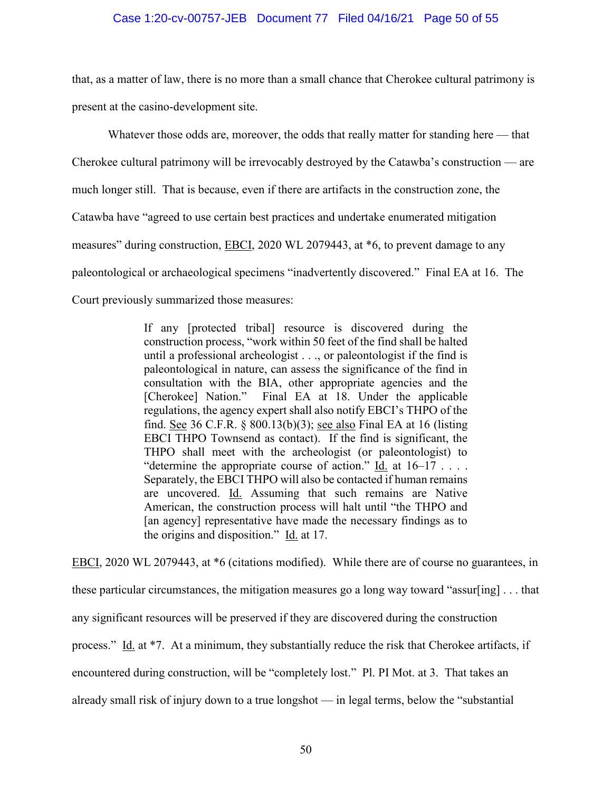### Case 1:20-cv-00757-JEB Document 77 Filed 04/16/21 Page 50 of 55

that, as a matter of law, there is no more than a small chance that Cherokee cultural patrimony is present at the casino-development site.

Whatever those odds are, moreover, the odds that really matter for standing here — that Cherokee cultural patrimony will be irrevocably destroyed by the Catawba's construction — are much longer still. That is because, even if there are artifacts in the construction zone, the Catawba have "agreed to use certain best practices and undertake enumerated mitigation measures" during construction, **EBCI**, 2020 WL 2079443, at \*6, to prevent damage to any paleontological or archaeological specimens "inadvertently discovered." Final EA at 16. The Court previously summarized those measures:

> If any [protected tribal] resource is discovered during the construction process, "work within 50 feet of the find shall be halted until a professional archeologist . . ., or paleontologist if the find is paleontological in nature, can assess the significance of the find in consultation with the BIA, other appropriate agencies and the [Cherokee] Nation." Final EA at 18. Under the applicable regulations, the agency expert shall also notify EBCI's THPO of the find. See 36 C.F.R. § 800.13(b)(3); see also Final EA at 16 (listing EBCI THPO Townsend as contact). If the find is significant, the THPO shall meet with the archeologist (or paleontologist) to "determine the appropriate course of action." Id. at  $16-17$ .... Separately, the EBCI THPO will also be contacted if human remains are uncovered. Id. Assuming that such remains are Native American, the construction process will halt until "the THPO and [an agency] representative have made the necessary findings as to the origins and disposition." Id. at 17.

EBCI, 2020 WL 2079443, at \*6 (citations modified). While there are of course no guarantees, in

these particular circumstances, the mitigation measures go a long way toward "assur[ing] . . . that

any significant resources will be preserved if they are discovered during the construction

process." Id. at \*7. At a minimum, they substantially reduce the risk that Cherokee artifacts, if

encountered during construction, will be "completely lost." Pl. PI Mot. at 3. That takes an

already small risk of injury down to a true longshot — in legal terms, below the "substantial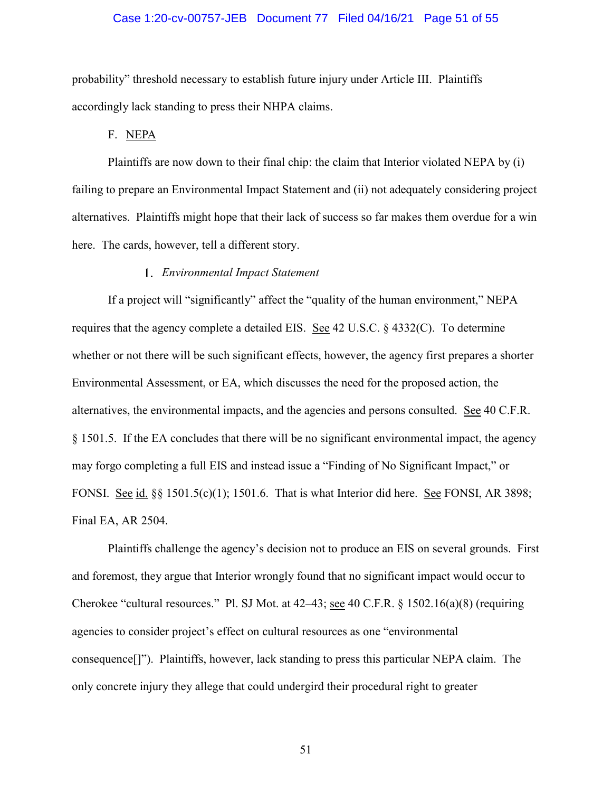### Case 1:20-cv-00757-JEB Document 77 Filed 04/16/21 Page 51 of 55

probability" threshold necessary to establish future injury under Article III. Plaintiffs accordingly lack standing to press their NHPA claims.

F. NEPA

Plaintiffs are now down to their final chip: the claim that Interior violated NEPA by (i) failing to prepare an Environmental Impact Statement and (ii) not adequately considering project alternatives. Plaintiffs might hope that their lack of success so far makes them overdue for a win here. The cards, however, tell a different story.

#### *Environmental Impact Statement*

If a project will "significantly" affect the "quality of the human environment," NEPA requires that the agency complete a detailed EIS. See 42 U.S.C. § 4332(C). To determine whether or not there will be such significant effects, however, the agency first prepares a shorter Environmental Assessment, or EA, which discusses the need for the proposed action, the alternatives, the environmental impacts, and the agencies and persons consulted. See 40 C.F.R. § 1501.5. If the EA concludes that there will be no significant environmental impact, the agency may forgo completing a full EIS and instead issue a "Finding of No Significant Impact," or FONSI. See id.  $\S$ § 1501.5(c)(1); 1501.6. That is what Interior did here. See FONSI, AR 3898; Final EA, AR 2504.

Plaintiffs challenge the agency's decision not to produce an EIS on several grounds. First and foremost, they argue that Interior wrongly found that no significant impact would occur to Cherokee "cultural resources." Pl. SJ Mot. at 42–43; see 40 C.F.R. § 1502.16(a)(8) (requiring agencies to consider project's effect on cultural resources as one "environmental consequence[]"). Plaintiffs, however, lack standing to press this particular NEPA claim. The only concrete injury they allege that could undergird their procedural right to greater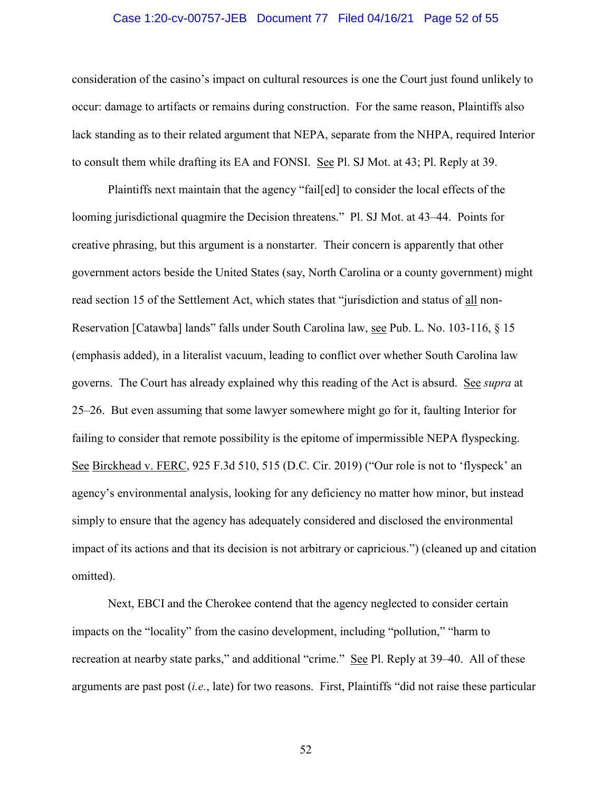### Case 1:20-cv-00757-JEB Document 77 Filed 04/16/21 Page 52 of 55

consideration of the casino's impact on cultural resources is one the Court just found unlikely to occur: damage to artifacts or remains during construction. For the same reason, Plaintiffs also lack standing as to their related argument that NEPA, separate from the NHPA, required Interior to consult them while drafting its EA and FONSI. See Pl. SJ Mot. at 43; Pl. Reply at 39.

Plaintiffs next maintain that the agency "fail[ed] to consider the local effects of the looming jurisdictional quagmire the Decision threatens." Pl. SJ Mot. at 43–44. Points for creative phrasing, but this argument is a nonstarter. Their concern is apparently that other government actors beside the United States (say, North Carolina or a county government) might read section 15 of the Settlement Act, which states that "jurisdiction and status of all non-Reservation [Catawba] lands" falls under South Carolina law, see Pub. L. No. 103-116, § 15 (emphasis added), in a literalist vacuum, leading to conflict over whether South Carolina law governs. The Court has already explained why this reading of the Act is absurd. See *supra* at 25–26. But even assuming that some lawyer somewhere might go for it, faulting Interior for failing to consider that remote possibility is the epitome of impermissible NEPA flyspecking. See Birckhead v. FERC, 925 F.3d 510, 515 (D.C. Cir. 2019) ("Our role is not to 'flyspeck' an agency's environmental analysis, looking for any deficiency no matter how minor, but instead simply to ensure that the agency has adequately considered and disclosed the environmental impact of its actions and that its decision is not arbitrary or capricious.") (cleaned up and citation omitted).

Next, EBCI and the Cherokee contend that the agency neglected to consider certain impacts on the "locality" from the casino development, including "pollution," "harm to recreation at nearby state parks," and additional "crime." See Pl. Reply at 39–40. All of these arguments are past post (*i.e.*, late) for two reasons. First, Plaintiffs "did not raise these particular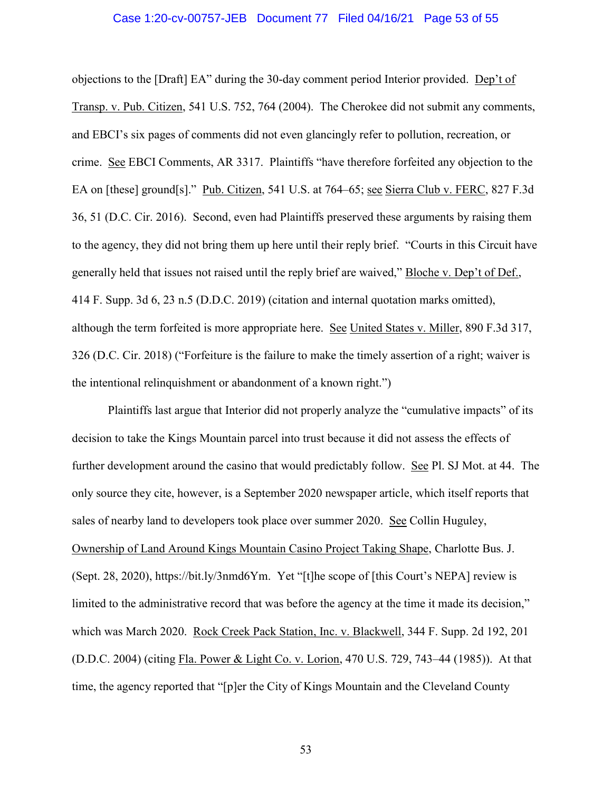#### Case 1:20-cv-00757-JEB Document 77 Filed 04/16/21 Page 53 of 55

objections to the [Draft] EA" during the 30-day comment period Interior provided. Dep't of Transp. v. Pub. Citizen, 541 U.S. 752, 764 (2004). The Cherokee did not submit any comments, and EBCI's six pages of comments did not even glancingly refer to pollution, recreation, or crime. See EBCI Comments, AR 3317. Plaintiffs "have therefore forfeited any objection to the EA on [these] ground[s]." Pub. Citizen, 541 U.S. at 764–65; see Sierra Club v. FERC, 827 F.3d 36, 51 (D.C. Cir. 2016). Second, even had Plaintiffs preserved these arguments by raising them to the agency, they did not bring them up here until their reply brief. "Courts in this Circuit have generally held that issues not raised until the reply brief are waived," Bloche v. Dep't of Def., 414 F. Supp. 3d 6, 23 n.5 (D.D.C. 2019) (citation and internal quotation marks omitted), although the term forfeited is more appropriate here. See United States v. Miller, 890 F.3d 317, 326 (D.C. Cir. 2018) ("Forfeiture is the failure to make the timely assertion of a right; waiver is the intentional relinquishment or abandonment of a known right.")

Plaintiffs last argue that Interior did not properly analyze the "cumulative impacts" of its decision to take the Kings Mountain parcel into trust because it did not assess the effects of further development around the casino that would predictably follow. See Pl. SJ Mot. at 44. The only source they cite, however, is a September 2020 newspaper article, which itself reports that sales of nearby land to developers took place over summer 2020. See Collin Huguley, Ownership of Land Around Kings Mountain Casino Project Taking Shape, Charlotte Bus. J. (Sept. 28, 2020), https://bit.ly/3nmd6Ym. Yet "[t]he scope of [this Court's NEPA] review is limited to the administrative record that was before the agency at the time it made its decision," which was March 2020. Rock Creek Pack Station, Inc. v. Blackwell, 344 F. Supp. 2d 192, 201 (D.D.C. 2004) (citing Fla. Power & Light Co. v. Lorion, 470 U.S. 729, 743–44 (1985)). At that time, the agency reported that "[p]er the City of Kings Mountain and the Cleveland County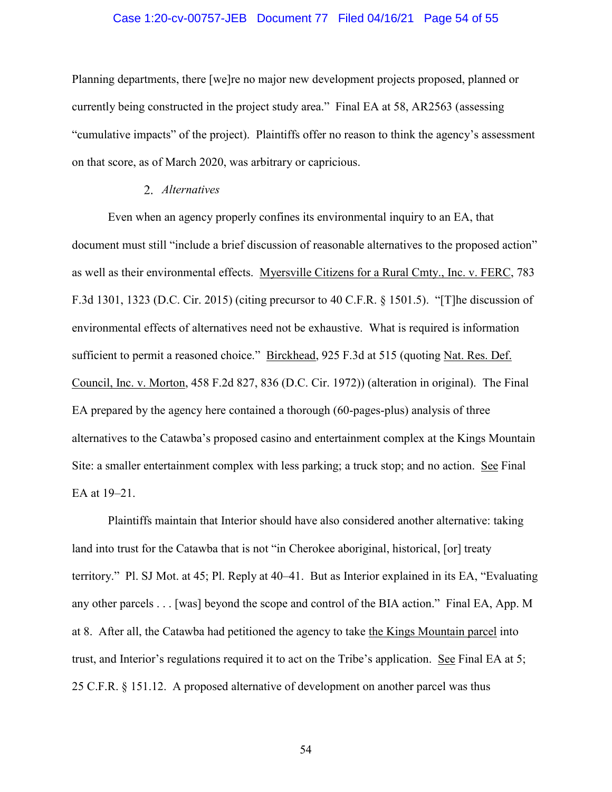### Case 1:20-cv-00757-JEB Document 77 Filed 04/16/21 Page 54 of 55

Planning departments, there [we]re no major new development projects proposed, planned or currently being constructed in the project study area." Final EA at 58, AR2563 (assessing "cumulative impacts" of the project). Plaintiffs offer no reason to think the agency's assessment on that score, as of March 2020, was arbitrary or capricious.

## *Alternatives*

Even when an agency properly confines its environmental inquiry to an EA, that document must still "include a brief discussion of reasonable alternatives to the proposed action" as well as their environmental effects. Myersville Citizens for a Rural Cmty., Inc. v. FERC, 783 F.3d 1301, 1323 (D.C. Cir. 2015) (citing precursor to 40 C.F.R. § 1501.5). "[T]he discussion of environmental effects of alternatives need not be exhaustive. What is required is information sufficient to permit a reasoned choice." Birckhead, 925 F.3d at 515 (quoting Nat. Res. Def. Council, Inc. v. Morton, 458 F.2d 827, 836 (D.C. Cir. 1972)) (alteration in original). The Final EA prepared by the agency here contained a thorough (60-pages-plus) analysis of three alternatives to the Catawba's proposed casino and entertainment complex at the Kings Mountain Site: a smaller entertainment complex with less parking; a truck stop; and no action. See Final EA at 19–21.

Plaintiffs maintain that Interior should have also considered another alternative: taking land into trust for the Catawba that is not "in Cherokee aboriginal, historical, [or] treaty territory." Pl. SJ Mot. at 45; Pl. Reply at 40–41. But as Interior explained in its EA, "Evaluating any other parcels . . . [was] beyond the scope and control of the BIA action." Final EA, App. M at 8. After all, the Catawba had petitioned the agency to take the Kings Mountain parcel into trust, and Interior's regulations required it to act on the Tribe's application. See Final EA at 5; 25 C.F.R. § 151.12. A proposed alternative of development on another parcel was thus